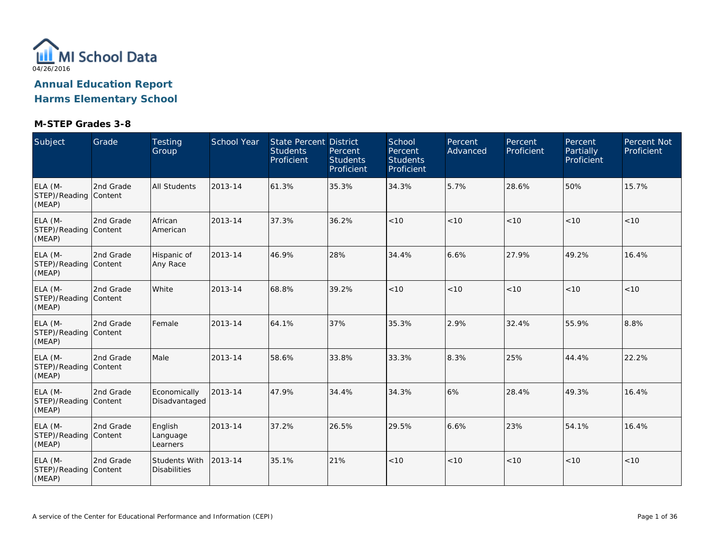

| Subject                                    | Grade     | <b>Testing</b><br>Group              | School Year | <b>State Percent District</b><br><b>Students</b><br>Proficient | Percent<br><b>Students</b><br>Proficient | School<br>Percent<br><b>Students</b><br>Proficient | Percent<br>Advanced | Percent<br>Proficient | Percent<br>Partially<br>Proficient | Percent Not<br>Proficient |
|--------------------------------------------|-----------|--------------------------------------|-------------|----------------------------------------------------------------|------------------------------------------|----------------------------------------------------|---------------------|-----------------------|------------------------------------|---------------------------|
| ELA (M-<br>STEP)/Reading Content<br>(MEAP) | 2nd Grade | <b>All Students</b>                  | 2013-14     | 61.3%                                                          | 35.3%                                    | 34.3%                                              | 5.7%                | 28.6%                 | 50%                                | 15.7%                     |
| ELA (M-<br>STEP)/Reading Content<br>(MEAP) | 2nd Grade | African<br>American                  | 2013-14     | 37.3%                                                          | 36.2%                                    | < 10                                               | < 10                | < 10                  | < 10                               | < 10                      |
| ELA (M-<br>STEP)/Reading Content<br>(MEAP) | 2nd Grade | Hispanic of<br>Any Race              | 2013-14     | 46.9%                                                          | 28%                                      | 34.4%                                              | 6.6%                | 27.9%                 | 49.2%                              | 16.4%                     |
| ELA (M-<br>STEP)/Reading Content<br>(MEAP) | 2nd Grade | White                                | 2013-14     | 68.8%                                                          | 39.2%                                    | < 10                                               | < 10                | < 10                  | < 10                               | < 10                      |
| ELA (M-<br>STEP)/Reading Content<br>(MEAP) | 2nd Grade | Female                               | 2013-14     | 64.1%                                                          | 37%                                      | 35.3%                                              | 2.9%                | 32.4%                 | 55.9%                              | 8.8%                      |
| ELA (M-<br>STEP)/Reading Content<br>(MEAP) | 2nd Grade | Male                                 | 2013-14     | 58.6%                                                          | 33.8%                                    | 33.3%                                              | 8.3%                | 25%                   | 44.4%                              | 22.2%                     |
| ELA (M-<br>STEP)/Reading Content<br>(MEAP) | 2nd Grade | Economically<br>Disadvantaged        | 2013-14     | 47.9%                                                          | 34.4%                                    | 34.3%                                              | 6%                  | 28.4%                 | 49.3%                              | 16.4%                     |
| ELA (M-<br>STEP)/Reading Content<br>(MEAP) | 2nd Grade | English<br>Language<br>Learners      | 2013-14     | 37.2%                                                          | 26.5%                                    | 29.5%                                              | 6.6%                | 23%                   | 54.1%                              | 16.4%                     |
| ELA (M-<br>STEP)/Reading Content<br>(MEAP) | 2nd Grade | Students With<br><b>Disabilities</b> | 2013-14     | 35.1%                                                          | 21%                                      | $<10$                                              | < 10                | < 10                  | < 10                               | < 10                      |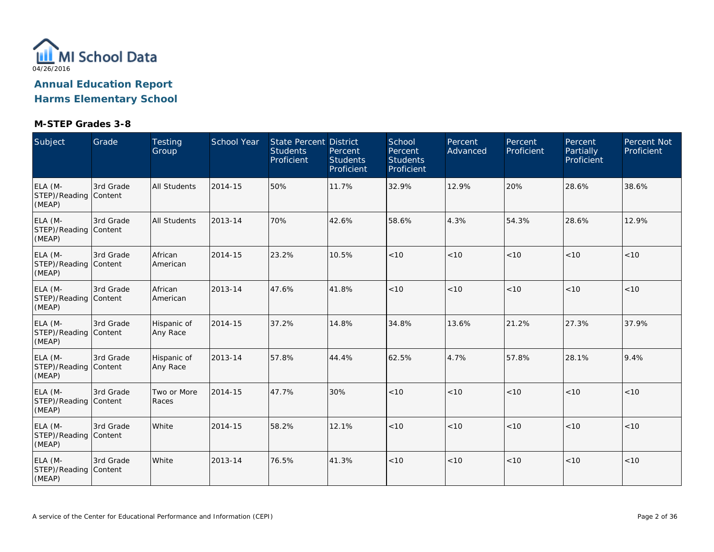

| Subject                                    | Grade     | Testing<br>Group        | School Year | <b>State Percent District</b><br><b>Students</b><br>Proficient | Percent<br><b>Students</b><br>Proficient | School<br>Percent<br><b>Students</b><br>Proficient | Percent<br>Advanced | Percent<br>Proficient | Percent<br>Partially<br>Proficient | Percent Not<br>Proficient |
|--------------------------------------------|-----------|-------------------------|-------------|----------------------------------------------------------------|------------------------------------------|----------------------------------------------------|---------------------|-----------------------|------------------------------------|---------------------------|
| ELA (M-<br>STEP)/Reading Content<br>(MEAP) | 3rd Grade | <b>All Students</b>     | 2014-15     | 50%                                                            | 11.7%                                    | 32.9%                                              | 12.9%               | 20%                   | 28.6%                              | 38.6%                     |
| ELA (M-<br>STEP)/Reading Content<br>(MEAP) | 3rd Grade | <b>All Students</b>     | 2013-14     | 70%                                                            | 42.6%                                    | 58.6%                                              | 4.3%                | 54.3%                 | 28.6%                              | 12.9%                     |
| ELA (M-<br>STEP)/Reading Content<br>(MEAP) | 3rd Grade | African<br>American     | 2014-15     | 23.2%                                                          | 10.5%                                    | < 10                                               | < 10                | < 10                  | < 10                               | < 10                      |
| ELA (M-<br>STEP)/Reading Content<br>(MEAP) | 3rd Grade | African<br>American     | 2013-14     | 47.6%                                                          | 41.8%                                    | < 10                                               | < 10                | < 10                  | < 10                               | < 10                      |
| ELA (M-<br>STEP)/Reading Content<br>(MEAP) | 3rd Grade | Hispanic of<br>Any Race | 2014-15     | 37.2%                                                          | 14.8%                                    | 34.8%                                              | 13.6%               | 21.2%                 | 27.3%                              | 37.9%                     |
| ELA (M-<br>STEP)/Reading Content<br>(MEAP) | 3rd Grade | Hispanic of<br>Any Race | 2013-14     | 57.8%                                                          | 44.4%                                    | 62.5%                                              | 4.7%                | 57.8%                 | 28.1%                              | 9.4%                      |
| ELA (M-<br>STEP)/Reading Content<br>(MEAP) | 3rd Grade | Two or More<br>Races    | 2014-15     | 47.7%                                                          | 30%                                      | < 10                                               | < 10                | < 10                  | < 10                               | < 10                      |
| ELA (M-<br>STEP)/Reading Content<br>(MEAP) | 3rd Grade | White                   | 2014-15     | 58.2%                                                          | 12.1%                                    | < 10                                               | < 10                | < 10                  | < 10                               | < 10                      |
| ELA (M-<br>STEP)/Reading Content<br>(MEAP) | 3rd Grade | White                   | 2013-14     | 76.5%                                                          | 41.3%                                    | < 10                                               | < 10                | < 10                  | < 10                               | < 10                      |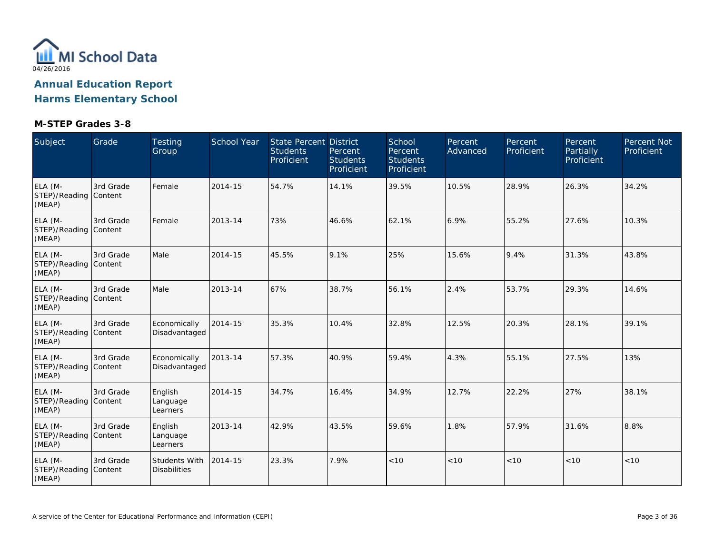

| Subject                                    | Grade     | Testing<br>Group                            | School Year | State Percent District<br><b>Students</b><br>Proficient | Percent<br><b>Students</b><br>Proficient | School<br>Percent<br><b>Students</b><br>Proficient | Percent<br>Advanced | Percent<br>Proficient | Percent<br>Partially<br>Proficient | Percent Not<br>Proficient |
|--------------------------------------------|-----------|---------------------------------------------|-------------|---------------------------------------------------------|------------------------------------------|----------------------------------------------------|---------------------|-----------------------|------------------------------------|---------------------------|
| ELA (M-<br>STEP)/Reading Content<br>(MEAP) | 3rd Grade | Female                                      | 2014-15     | 54.7%                                                   | 14.1%                                    | 39.5%                                              | 10.5%               | 28.9%                 | 26.3%                              | 34.2%                     |
| ELA (M-<br>STEP)/Reading Content<br>(MEAP) | 3rd Grade | Female                                      | 2013-14     | 73%                                                     | 46.6%                                    | 62.1%                                              | 6.9%                | 55.2%                 | 27.6%                              | 10.3%                     |
| ELA (M-<br>STEP)/Reading Content<br>(MEAP) | 3rd Grade | Male                                        | 2014-15     | 45.5%                                                   | 9.1%                                     | 25%                                                | 15.6%               | 9.4%                  | 31.3%                              | 43.8%                     |
| ELA (M-<br>STEP)/Reading Content<br>(MEAP) | 3rd Grade | Male                                        | 2013-14     | 67%                                                     | 38.7%                                    | 56.1%                                              | 2.4%                | 53.7%                 | 29.3%                              | 14.6%                     |
| ELA (M-<br>STEP)/Reading Content<br>(MEAP) | 3rd Grade | Economically<br>Disadvantaged               | 2014-15     | 35.3%                                                   | 10.4%                                    | 32.8%                                              | 12.5%               | 20.3%                 | 28.1%                              | 39.1%                     |
| ELA (M-<br>STEP)/Reading Content<br>(MEAP) | 3rd Grade | Economically<br>Disadvantaged               | 2013-14     | 57.3%                                                   | 40.9%                                    | 59.4%                                              | 4.3%                | 55.1%                 | 27.5%                              | 13%                       |
| ELA (M-<br>STEP)/Reading Content<br>(MEAP) | 3rd Grade | English<br>Language<br>Learners             | 2014-15     | 34.7%                                                   | 16.4%                                    | 34.9%                                              | 12.7%               | 22.2%                 | 27%                                | 38.1%                     |
| ELA (M-<br>STEP)/Reading Content<br>(MEAP) | 3rd Grade | English<br>Language<br>Learners             | 2013-14     | 42.9%                                                   | 43.5%                                    | 59.6%                                              | 1.8%                | 57.9%                 | 31.6%                              | 8.8%                      |
| ELA (M-<br>STEP)/Reading Content<br>(MEAP) | 3rd Grade | <b>Students With</b><br><b>Disabilities</b> | 2014-15     | 23.3%                                                   | 7.9%                                     | < 10                                               | < 10                | < 10                  | < 10                               | < 10                      |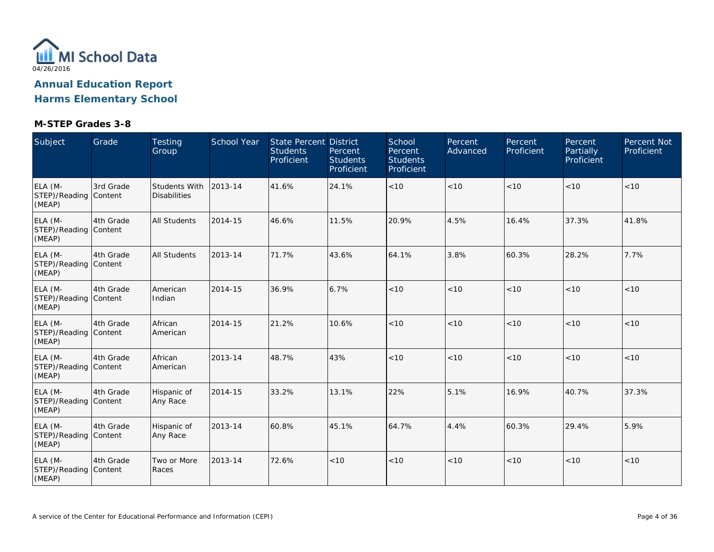

| Subject                                    | Grade     | <b>Testing</b><br>Group              | School Year | State Percent District<br><b>Students</b><br>Proficient | Percent<br><b>Students</b><br>Proficient | School<br>Percent<br><b>Students</b><br>Proficient | Percent<br>Advanced | Percent<br>Proficient | Percent<br>Partially<br>Proficient | Percent Not<br>Proficient |
|--------------------------------------------|-----------|--------------------------------------|-------------|---------------------------------------------------------|------------------------------------------|----------------------------------------------------|---------------------|-----------------------|------------------------------------|---------------------------|
| ELA (M-<br>STEP)/Reading Content<br>(MEAP) | 3rd Grade | Students With<br><b>Disabilities</b> | 2013-14     | 41.6%                                                   | 24.1%                                    | < 10                                               | < 10                | < 10                  | < 10                               | < 10                      |
| ELA (M-<br>STEP)/Reading Content<br>(MEAP) | 4th Grade | All Students                         | 2014-15     | 46.6%                                                   | 11.5%                                    | 20.9%                                              | 4.5%                | 16.4%                 | 37.3%                              | 41.8%                     |
| ELA (M-<br>STEP)/Reading Content<br>(MEAP) | 4th Grade | <b>All Students</b>                  | 2013-14     | 71.7%                                                   | 43.6%                                    | 64.1%                                              | 3.8%                | 60.3%                 | 28.2%                              | 7.7%                      |
| ELA (M-<br>STEP)/Reading Content<br>(MEAP) | 4th Grade | American<br>Indian                   | 2014-15     | 36.9%                                                   | 6.7%                                     | < 10                                               | < 10                | < 10                  | < 10                               | < 10                      |
| ELA (M-<br>STEP)/Reading Content<br>(MEAP) | 4th Grade | African<br>American                  | 2014-15     | 21.2%                                                   | 10.6%                                    | $<10$                                              | < 10                | < 10                  | < 10                               | < 10                      |
| ELA (M-<br>STEP)/Reading Content<br>(MEAP) | 4th Grade | African<br>American                  | 2013-14     | 48.7%                                                   | 43%                                      | < 10                                               | < 10                | < 10                  | < 10                               | < 10                      |
| ELA (M-<br>STEP)/Reading Content<br>(MEAP) | 4th Grade | Hispanic of<br>Any Race              | 2014-15     | 33.2%                                                   | 13.1%                                    | 22%                                                | 5.1%                | 16.9%                 | 40.7%                              | 37.3%                     |
| ELA (M-<br>STEP)/Reading Content<br>(MEAP) | 4th Grade | Hispanic of<br>Any Race              | 2013-14     | 60.8%                                                   | 45.1%                                    | 64.7%                                              | 4.4%                | 60.3%                 | 29.4%                              | 5.9%                      |
| ELA (M-<br>STEP)/Reading Content<br>(MEAP) | 4th Grade | Two or More<br>Races                 | 2013-14     | 72.6%                                                   | < 10                                     | $<10$                                              | < 10                | < 10                  | < 10                               | < 10                      |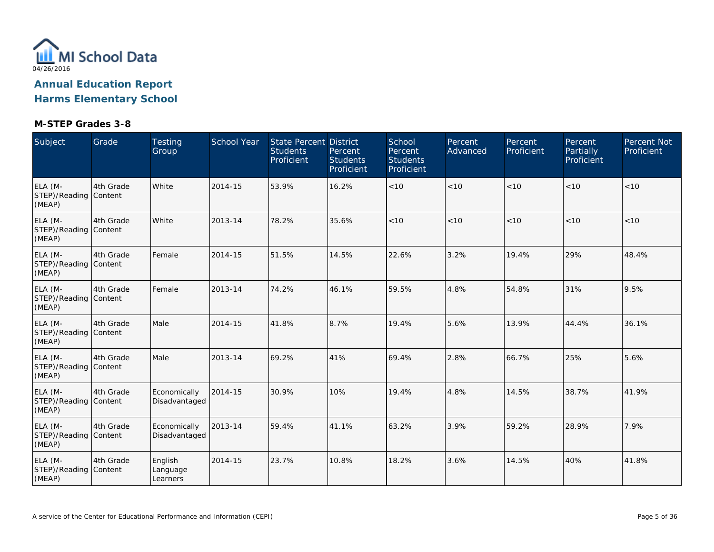

| Subject                                    | Grade     | Testing<br>Group                | School Year | <b>State Percent District</b><br><b>Students</b><br>Proficient | Percent<br><b>Students</b><br>Proficient | School<br>Percent<br><b>Students</b><br>Proficient | Percent<br>Advanced | Percent<br>Proficient | Percent<br>Partially<br>Proficient | Percent Not<br>Proficient |
|--------------------------------------------|-----------|---------------------------------|-------------|----------------------------------------------------------------|------------------------------------------|----------------------------------------------------|---------------------|-----------------------|------------------------------------|---------------------------|
| ELA (M-<br>STEP)/Reading Content<br>(MEAP) | 4th Grade | White                           | 2014-15     | 53.9%                                                          | 16.2%                                    | < 10                                               | < 10                | < 10                  | < 10                               | < 10                      |
| ELA (M-<br>STEP)/Reading Content<br>(MEAP) | 4th Grade | White                           | 2013-14     | 78.2%                                                          | 35.6%                                    | < 10                                               | < 10                | < 10                  | < 10                               | < 10                      |
| ELA (M-<br>STEP)/Reading Content<br>(MEAP) | 4th Grade | Female                          | 2014-15     | 51.5%                                                          | 14.5%                                    | 22.6%                                              | 3.2%                | 19.4%                 | 29%                                | 48.4%                     |
| ELA (M-<br>STEP)/Reading Content<br>(MEAP) | 4th Grade | Female                          | 2013-14     | 74.2%                                                          | 46.1%                                    | 59.5%                                              | 4.8%                | 54.8%                 | 31%                                | 9.5%                      |
| ELA (M-<br>STEP)/Reading Content<br>(MEAP) | 4th Grade | Male                            | 2014-15     | 41.8%                                                          | 8.7%                                     | 19.4%                                              | 5.6%                | 13.9%                 | 44.4%                              | 36.1%                     |
| ELA (M-<br>STEP)/Reading Content<br>(MEAP) | 4th Grade | Male                            | 2013-14     | 69.2%                                                          | 41%                                      | 69.4%                                              | 2.8%                | 66.7%                 | 25%                                | 5.6%                      |
| ELA (M-<br>STEP)/Reading Content<br>(MEAP) | 4th Grade | Economically<br>Disadvantaged   | 2014-15     | 30.9%                                                          | 10%                                      | 19.4%                                              | 4.8%                | 14.5%                 | 38.7%                              | 41.9%                     |
| ELA (M-<br>STEP)/Reading Content<br>(MEAP) | 4th Grade | Economically<br>Disadvantaged   | 2013-14     | 59.4%                                                          | 41.1%                                    | 63.2%                                              | 3.9%                | 59.2%                 | 28.9%                              | 7.9%                      |
| ELA (M-<br>STEP)/Reading Content<br>(MEAP) | 4th Grade | English<br>Language<br>Learners | 2014-15     | 23.7%                                                          | 10.8%                                    | 18.2%                                              | 3.6%                | 14.5%                 | 40%                                | 41.8%                     |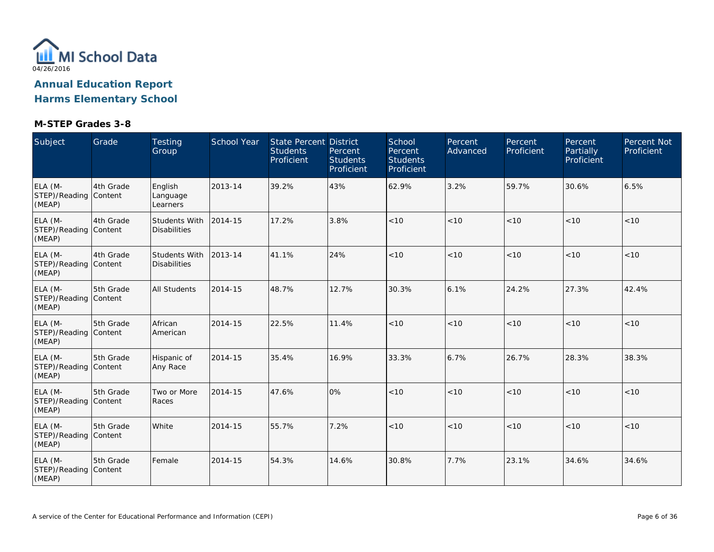

| Subject                                    | Grade     | Testing<br>Group                            | School Year | State Percent District<br><b>Students</b><br>Proficient | Percent<br><b>Students</b><br>Proficient | School<br>Percent<br><b>Students</b><br>Proficient | Percent<br>Advanced | Percent<br>Proficient | Percent<br><b>Partially</b><br>Proficient | <b>Percent Not</b><br>Proficient |
|--------------------------------------------|-----------|---------------------------------------------|-------------|---------------------------------------------------------|------------------------------------------|----------------------------------------------------|---------------------|-----------------------|-------------------------------------------|----------------------------------|
| ELA (M-<br>STEP)/Reading Content<br>(MEAP) | 4th Grade | English<br>Language<br>Learners             | 2013-14     | 39.2%                                                   | 43%                                      | 62.9%                                              | 3.2%                | 59.7%                 | 30.6%                                     | 6.5%                             |
| ELA (M-<br>STEP)/Reading Content<br>(MEAP) | 4th Grade | <b>Students With</b><br><b>Disabilities</b> | 2014-15     | 17.2%                                                   | 3.8%                                     | < 10                                               | < 10                | < 10                  | < 10                                      | < 10                             |
| ELA (M-<br>STEP)/Reading Content<br>(MEAP) | 4th Grade | Students With<br><b>Disabilities</b>        | 2013-14     | 41.1%                                                   | 24%                                      | < 10                                               | < 10                | < 10                  | < 10                                      | < 10                             |
| ELA (M-<br>STEP)/Reading Content<br>(MEAP) | 5th Grade | All Students                                | 2014-15     | 48.7%                                                   | 12.7%                                    | 30.3%                                              | 6.1%                | 24.2%                 | 27.3%                                     | 42.4%                            |
| ELA (M-<br>STEP)/Reading Content<br>(MEAP) | 5th Grade | African<br>American                         | 2014-15     | 22.5%                                                   | 11.4%                                    | < 10                                               | < 10                | < 10                  | < 10                                      | $<10$                            |
| ELA (M-<br>STEP)/Reading Content<br>(MEAP) | 5th Grade | Hispanic of<br>Any Race                     | 2014-15     | 35.4%                                                   | 16.9%                                    | 33.3%                                              | 6.7%                | 26.7%                 | 28.3%                                     | 38.3%                            |
| ELA (M-<br>STEP)/Reading Content<br>(MEAP) | 5th Grade | Two or More<br>Races                        | 2014-15     | 47.6%                                                   | 0%                                       | $<10$                                              | $<10$               | < 10                  | < 10                                      | $<10$                            |
| ELA (M-<br>STEP)/Reading Content<br>(MEAP) | 5th Grade | White                                       | 2014-15     | 55.7%                                                   | 7.2%                                     | < 10                                               | < 10                | < 10                  | < 10                                      | < 10                             |
| ELA (M-<br>STEP)/Reading Content<br>(MEAP) | 5th Grade | Female                                      | 2014-15     | 54.3%                                                   | 14.6%                                    | 30.8%                                              | 7.7%                | 23.1%                 | 34.6%                                     | 34.6%                            |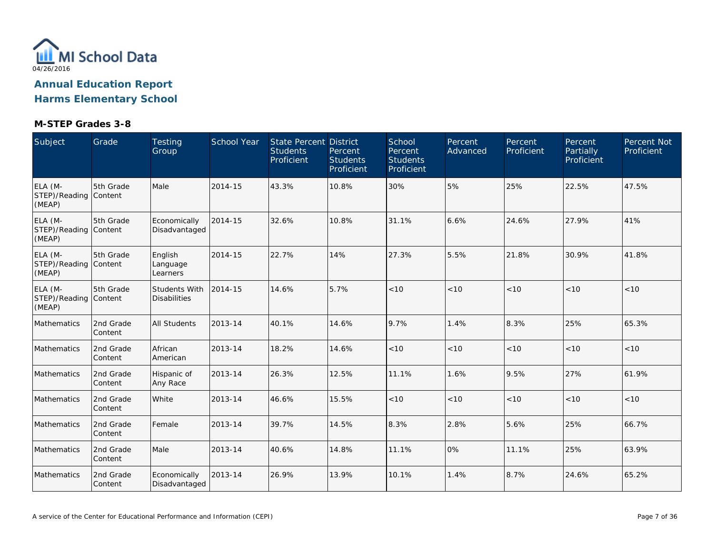

| Subject                                    | Grade                | Testing<br>Group                     | School Year | State Percent District<br><b>Students</b><br>Proficient | Percent<br><b>Students</b><br>Proficient | School<br>Percent<br><b>Students</b><br>Proficient | Percent<br>Advanced | Percent<br>Proficient | Percent<br>Partially<br>Proficient | Percent Not<br>Proficient |
|--------------------------------------------|----------------------|--------------------------------------|-------------|---------------------------------------------------------|------------------------------------------|----------------------------------------------------|---------------------|-----------------------|------------------------------------|---------------------------|
| ELA (M-<br>STEP)/Reading Content<br>(MEAP) | 5th Grade            | Male                                 | 2014-15     | 43.3%                                                   | 10.8%                                    | 30%                                                | 5%                  | 25%                   | 22.5%                              | 47.5%                     |
| ELA (M-<br>STEP)/Reading Content<br>(MEAP) | 5th Grade            | Economically<br>Disadvantaged        | 2014-15     | 32.6%                                                   | 10.8%                                    | 31.1%                                              | 6.6%                | 24.6%                 | 27.9%                              | 41%                       |
| ELA (M-<br>STEP)/Reading Content<br>(MEAP) | 5th Grade            | English<br>Language<br>Learners      | 2014-15     | 22.7%                                                   | 14%                                      | 27.3%                                              | 5.5%                | 21.8%                 | 30.9%                              | 41.8%                     |
| ELA (M-<br>STEP)/Reading Content<br>(MEAP) | 5th Grade            | Students With<br><b>Disabilities</b> | 2014-15     | 14.6%                                                   | 5.7%                                     | < 10                                               | $<10$               | < 10                  | < 10                               | < 10                      |
| Mathematics                                | 2nd Grade<br>Content | All Students                         | 2013-14     | 40.1%                                                   | 14.6%                                    | 9.7%                                               | 1.4%                | 8.3%                  | 25%                                | 65.3%                     |
| <b>Mathematics</b>                         | 2nd Grade<br>Content | African<br>American                  | 2013-14     | 18.2%                                                   | 14.6%                                    | < 10                                               | < 10                | < 10                  | < 10                               | < 10                      |
| Mathematics                                | 2nd Grade<br>Content | Hispanic of<br>Any Race              | 2013-14     | 26.3%                                                   | 12.5%                                    | 11.1%                                              | 1.6%                | 9.5%                  | 27%                                | 61.9%                     |
| Mathematics                                | 2nd Grade<br>Content | White                                | 2013-14     | 46.6%                                                   | 15.5%                                    | < 10                                               | < 10                | < 10                  | < 10                               | $<10$                     |
| Mathematics                                | 2nd Grade<br>Content | Female                               | 2013-14     | 39.7%                                                   | 14.5%                                    | 8.3%                                               | 2.8%                | 5.6%                  | 25%                                | 66.7%                     |
| Mathematics                                | 2nd Grade<br>Content | Male                                 | 2013-14     | 40.6%                                                   | 14.8%                                    | 11.1%                                              | 0%                  | 11.1%                 | 25%                                | 63.9%                     |
| Mathematics                                | 2nd Grade<br>Content | Economically<br>Disadvantaged        | 2013-14     | 26.9%                                                   | 13.9%                                    | 10.1%                                              | 1.4%                | 8.7%                  | 24.6%                              | 65.2%                     |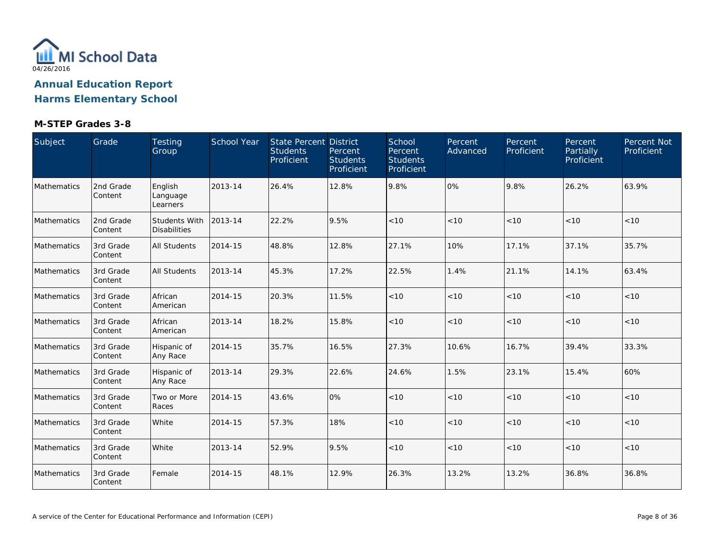

| Subject     | Grade                | Testing<br>Group                            | School Year | State Percent District<br><b>Students</b><br>Proficient | Percent<br><b>Students</b><br>Proficient | School<br>Percent<br><b>Students</b><br>Proficient | Percent<br>Advanced | Percent<br>Proficient | Percent<br>Partially<br>Proficient | Percent Not<br>Proficient |
|-------------|----------------------|---------------------------------------------|-------------|---------------------------------------------------------|------------------------------------------|----------------------------------------------------|---------------------|-----------------------|------------------------------------|---------------------------|
| Mathematics | 2nd Grade<br>Content | English<br>Language<br>Learners             | 2013-14     | 26.4%                                                   | 12.8%                                    | 9.8%                                               | 0%                  | 9.8%                  | 26.2%                              | 63.9%                     |
| Mathematics | 2nd Grade<br>Content | <b>Students With</b><br><b>Disabilities</b> | 2013-14     | 22.2%                                                   | 9.5%                                     | < 10                                               | < 10                | < 10                  | < 10                               | < 10                      |
| Mathematics | 3rd Grade<br>Content | All Students                                | 2014-15     | 48.8%                                                   | 12.8%                                    | 27.1%                                              | 10%                 | 17.1%                 | 37.1%                              | 35.7%                     |
| Mathematics | 3rd Grade<br>Content | All Students                                | 2013-14     | 45.3%                                                   | 17.2%                                    | 22.5%                                              | 1.4%                | 21.1%                 | 14.1%                              | 63.4%                     |
| Mathematics | 3rd Grade<br>Content | African<br>American                         | 2014-15     | 20.3%                                                   | 11.5%                                    | < 10                                               | < 10                | < 10                  | < 10                               | < 10                      |
| Mathematics | 3rd Grade<br>Content | African<br>American                         | 2013-14     | 18.2%                                                   | 15.8%                                    | $<10$                                              | < 10                | < 10                  | < 10                               | < 10                      |
| Mathematics | 3rd Grade<br>Content | Hispanic of<br>Any Race                     | 2014-15     | 35.7%                                                   | 16.5%                                    | 27.3%                                              | 10.6%               | 16.7%                 | 39.4%                              | 33.3%                     |
| Mathematics | 3rd Grade<br>Content | Hispanic of<br>Any Race                     | 2013-14     | 29.3%                                                   | 22.6%                                    | 24.6%                                              | 1.5%                | 23.1%                 | 15.4%                              | 60%                       |
| Mathematics | 3rd Grade<br>Content | Two or More<br>Races                        | 2014-15     | 43.6%                                                   | 0%                                       | $<10$                                              | < 10                | < 10                  | < 10                               | < 10                      |
| Mathematics | 3rd Grade<br>Content | White                                       | 2014-15     | 57.3%                                                   | 18%                                      | < 10                                               | < 10                | < 10                  | < 10                               | < 10                      |
| Mathematics | 3rd Grade<br>Content | White                                       | 2013-14     | 52.9%                                                   | 9.5%                                     | $<10$                                              | < 10                | $<10$                 | < 10                               | < 10                      |
| Mathematics | 3rd Grade<br>Content | Female                                      | 2014-15     | 48.1%                                                   | 12.9%                                    | 26.3%                                              | 13.2%               | 13.2%                 | 36.8%                              | 36.8%                     |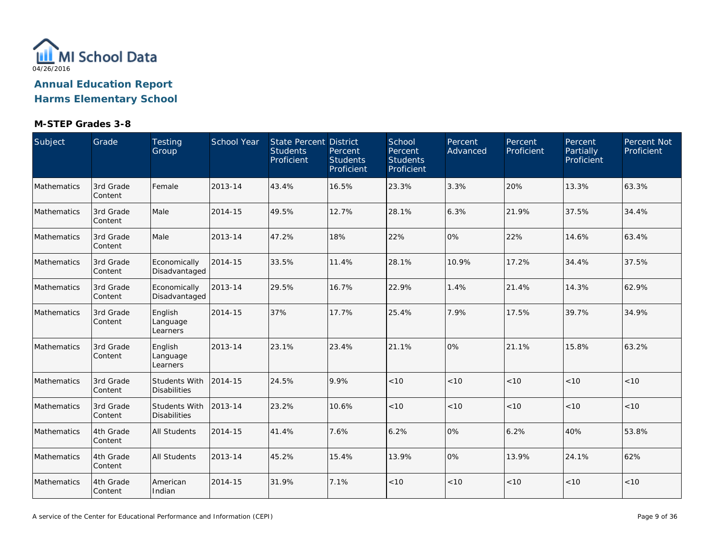

| Subject     | Grade                | Testing<br>Group                            | School Year | State Percent District<br><b>Students</b><br>Proficient | Percent<br><b>Students</b><br>Proficient | School<br>Percent<br><b>Students</b><br>Proficient | Percent<br>Advanced | Percent<br>Proficient | Percent<br>Partially<br>Proficient | Percent Not<br>Proficient |
|-------------|----------------------|---------------------------------------------|-------------|---------------------------------------------------------|------------------------------------------|----------------------------------------------------|---------------------|-----------------------|------------------------------------|---------------------------|
| Mathematics | 3rd Grade<br>Content | Female                                      | 2013-14     | 43.4%                                                   | 16.5%                                    | 23.3%                                              | 3.3%                | 20%                   | 13.3%                              | 63.3%                     |
| Mathematics | 3rd Grade<br>Content | Male                                        | 2014-15     | 49.5%                                                   | 12.7%                                    | 28.1%                                              | 6.3%                | 21.9%                 | 37.5%                              | 34.4%                     |
| Mathematics | 3rd Grade<br>Content | Male                                        | 2013-14     | 47.2%                                                   | 18%                                      | 22%                                                | 0%                  | 22%                   | 14.6%                              | 63.4%                     |
| Mathematics | 3rd Grade<br>Content | Economically<br>Disadvantaged               | 2014-15     | 33.5%                                                   | 11.4%                                    | 28.1%                                              | 10.9%               | 17.2%                 | 34.4%                              | 37.5%                     |
| Mathematics | 3rd Grade<br>Content | Economically<br>Disadvantaged               | 2013-14     | 29.5%                                                   | 16.7%                                    | 22.9%                                              | 1.4%                | 21.4%                 | 14.3%                              | 62.9%                     |
| Mathematics | 3rd Grade<br>Content | English<br>Language<br>Learners             | 2014-15     | 37%                                                     | 17.7%                                    | 25.4%                                              | 7.9%                | 17.5%                 | 39.7%                              | 34.9%                     |
| Mathematics | 3rd Grade<br>Content | English<br>Language<br>Learners             | 2013-14     | 23.1%                                                   | 23.4%                                    | 21.1%                                              | 0%                  | 21.1%                 | 15.8%                              | 63.2%                     |
| Mathematics | 3rd Grade<br>Content | <b>Students With</b><br><b>Disabilities</b> | 2014-15     | 24.5%                                                   | 9.9%                                     | < 10                                               | < 10                | < 10                  | < 10                               | < 10                      |
| Mathematics | 3rd Grade<br>Content | Students With<br><b>Disabilities</b>        | 2013-14     | 23.2%                                                   | 10.6%                                    | $<10$                                              | < 10                | < 10                  | < 10                               | $<10$                     |
| Mathematics | 4th Grade<br>Content | <b>All Students</b>                         | 2014-15     | 41.4%                                                   | 7.6%                                     | 6.2%                                               | 0%                  | 6.2%                  | 40%                                | 53.8%                     |
| Mathematics | 4th Grade<br>Content | <b>All Students</b>                         | 2013-14     | 45.2%                                                   | 15.4%                                    | 13.9%                                              | 0%                  | 13.9%                 | 24.1%                              | 62%                       |
| Mathematics | 4th Grade<br>Content | American<br>Indian                          | 2014-15     | 31.9%                                                   | 7.1%                                     | < 10                                               | < 10                | < 10                  | < 10                               | < 10                      |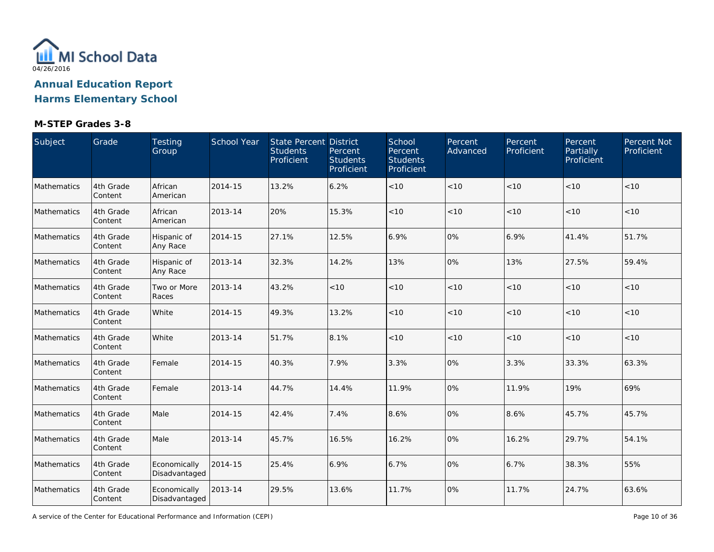

| Subject     | Grade                | Testing<br>Group              | School Year | State Percent District<br><b>Students</b><br>Proficient | Percent<br><b>Students</b><br>Proficient | School<br>Percent<br><b>Students</b><br>Proficient | Percent<br>Advanced | Percent<br>Proficient | Percent<br>Partially<br>Proficient | Percent Not<br>Proficient |
|-------------|----------------------|-------------------------------|-------------|---------------------------------------------------------|------------------------------------------|----------------------------------------------------|---------------------|-----------------------|------------------------------------|---------------------------|
| Mathematics | 4th Grade<br>Content | African<br>American           | 2014-15     | 13.2%                                                   | 6.2%                                     | < 10                                               | < 10                | < 10                  | < 10                               | < 10                      |
| Mathematics | 4th Grade<br>Content | African<br>American           | 2013-14     | 20%                                                     | 15.3%                                    | < 10                                               | < 10                | < 10                  | < 10                               | < 10                      |
| Mathematics | 4th Grade<br>Content | Hispanic of<br>Any Race       | 2014-15     | 27.1%                                                   | 12.5%                                    | 6.9%                                               | 0%                  | 6.9%                  | 41.4%                              | 51.7%                     |
| Mathematics | 4th Grade<br>Content | Hispanic of<br>Any Race       | 2013-14     | 32.3%                                                   | 14.2%                                    | 13%                                                | 0%                  | 13%                   | 27.5%                              | 59.4%                     |
| Mathematics | 4th Grade<br>Content | Two or More<br>Races          | 2013-14     | 43.2%                                                   | $<10$                                    | < 10                                               | < 10                | < 10                  | < 10                               | < 10                      |
| Mathematics | 4th Grade<br>Content | White                         | 2014-15     | 49.3%                                                   | 13.2%                                    | < 10                                               | < 10                | < 10                  | < 10                               | < 10                      |
| Mathematics | 4th Grade<br>Content | White                         | 2013-14     | 51.7%                                                   | 8.1%                                     | < 10                                               | < 10                | < 10                  | < 10                               | $<10$                     |
| Mathematics | 4th Grade<br>Content | Female                        | 2014-15     | 40.3%                                                   | 7.9%                                     | 3.3%                                               | 0%                  | 3.3%                  | 33.3%                              | 63.3%                     |
| Mathematics | 4th Grade<br>Content | Female                        | 2013-14     | 44.7%                                                   | 14.4%                                    | 11.9%                                              | 0%                  | 11.9%                 | 19%                                | 69%                       |
| Mathematics | 4th Grade<br>Content | Male                          | 2014-15     | 42.4%                                                   | 7.4%                                     | 8.6%                                               | 0%                  | 8.6%                  | 45.7%                              | 45.7%                     |
| Mathematics | 4th Grade<br>Content | Male                          | 2013-14     | 45.7%                                                   | 16.5%                                    | 16.2%                                              | 0%                  | 16.2%                 | 29.7%                              | 54.1%                     |
| Mathematics | 4th Grade<br>Content | Economically<br>Disadvantaged | 2014-15     | 25.4%                                                   | 6.9%                                     | 6.7%                                               | 0%                  | 6.7%                  | 38.3%                              | 55%                       |
| Mathematics | 4th Grade<br>Content | Economically<br>Disadvantaged | 2013-14     | 29.5%                                                   | 13.6%                                    | 11.7%                                              | 0%                  | 11.7%                 | 24.7%                              | 63.6%                     |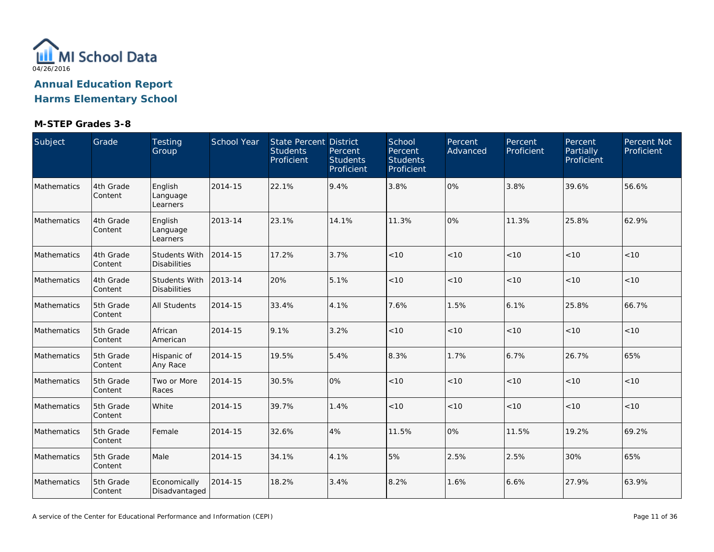

| Subject     | Grade                | Testing<br>Group                            | School Year | State Percent District<br><b>Students</b><br>Proficient | Percent<br><b>Students</b><br>Proficient | School<br>Percent<br><b>Students</b><br>Proficient | Percent<br>Advanced | Percent<br>Proficient | Percent<br>Partially<br>Proficient | Percent Not<br>Proficient |
|-------------|----------------------|---------------------------------------------|-------------|---------------------------------------------------------|------------------------------------------|----------------------------------------------------|---------------------|-----------------------|------------------------------------|---------------------------|
| Mathematics | 4th Grade<br>Content | English<br>Language<br>Learners             | 2014-15     | 22.1%                                                   | 9.4%                                     | 3.8%                                               | 0%                  | 3.8%                  | 39.6%                              | 56.6%                     |
| Mathematics | 4th Grade<br>Content | English<br>Language<br>Learners             | 2013-14     | 23.1%                                                   | 14.1%                                    | 11.3%                                              | 0%                  | 11.3%                 | 25.8%                              | 62.9%                     |
| Mathematics | 4th Grade<br>Content | <b>Students With</b><br><b>Disabilities</b> | 2014-15     | 17.2%                                                   | 3.7%                                     | < 10                                               | < 10                | < 10                  | < 10                               | $<10$                     |
| Mathematics | 4th Grade<br>Content | <b>Students With</b><br><b>Disabilities</b> | 2013-14     | 20%                                                     | 5.1%                                     | < 10                                               | < 10                | < 10                  | < 10                               | < 10                      |
| Mathematics | 5th Grade<br>Content | All Students                                | 2014-15     | 33.4%                                                   | 4.1%                                     | 7.6%                                               | 1.5%                | 6.1%                  | 25.8%                              | 66.7%                     |
| Mathematics | 5th Grade<br>Content | African<br>American                         | 2014-15     | 9.1%                                                    | 3.2%                                     | < 10                                               | < 10                | < 10                  | < 10                               | < 10                      |
| Mathematics | 5th Grade<br>Content | Hispanic of<br>Any Race                     | 2014-15     | 19.5%                                                   | 5.4%                                     | 8.3%                                               | 1.7%                | 6.7%                  | 26.7%                              | 65%                       |
| Mathematics | 5th Grade<br>Content | Two or More<br>Races                        | 2014-15     | 30.5%                                                   | 0%                                       | $<10$                                              | < 10                | < 10                  | < 10                               | $<10$                     |
| Mathematics | 5th Grade<br>Content | White                                       | 2014-15     | 39.7%                                                   | 1.4%                                     | $<10$                                              | < 10                | < 10                  | < 10                               | $<10$                     |
| Mathematics | 5th Grade<br>Content | Female                                      | 2014-15     | 32.6%                                                   | 4%                                       | 11.5%                                              | 0%                  | 11.5%                 | 19.2%                              | 69.2%                     |
| Mathematics | 5th Grade<br>Content | Male                                        | 2014-15     | 34.1%                                                   | 4.1%                                     | 5%                                                 | 2.5%                | 2.5%                  | 30%                                | 65%                       |
| Mathematics | 5th Grade<br>Content | Economically<br>Disadvantaged               | 2014-15     | 18.2%                                                   | 3.4%                                     | 8.2%                                               | 1.6%                | 6.6%                  | 27.9%                              | 63.9%                     |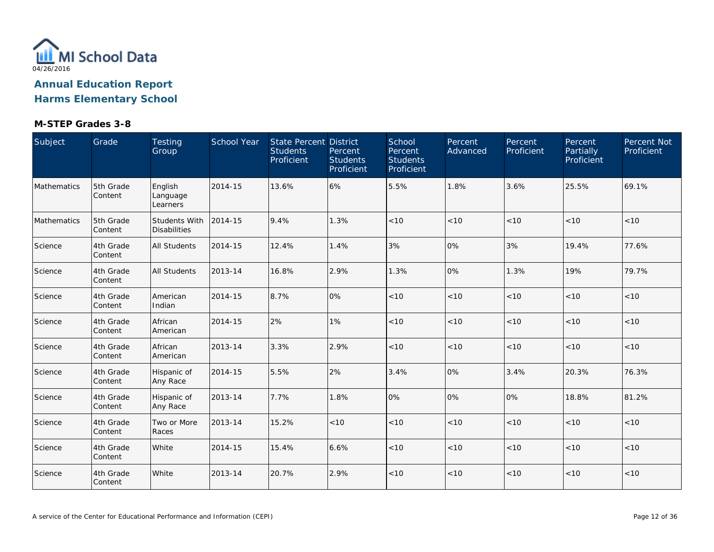

| Subject     | Grade                | Testing<br>Group                     | School Year | State Percent District<br><b>Students</b><br>Proficient | Percent<br><b>Students</b><br>Proficient | School<br>Percent<br><b>Students</b><br>Proficient | Percent<br>Advanced | Percent<br>Proficient | Percent<br>Partially<br>Proficient | Percent Not<br>Proficient |
|-------------|----------------------|--------------------------------------|-------------|---------------------------------------------------------|------------------------------------------|----------------------------------------------------|---------------------|-----------------------|------------------------------------|---------------------------|
| Mathematics | 5th Grade<br>Content | English<br>Language<br>Learners      | 2014-15     | 13.6%                                                   | 6%                                       | 5.5%                                               | 1.8%                | 3.6%                  | 25.5%                              | 69.1%                     |
| Mathematics | 5th Grade<br>Content | Students With<br><b>Disabilities</b> | 2014-15     | 9.4%                                                    | 1.3%                                     | $<10$                                              | < 10                | < 10                  | < 10                               | < 10                      |
| Science     | 4th Grade<br>Content | <b>All Students</b>                  | 2014-15     | 12.4%                                                   | 1.4%                                     | 3%                                                 | 0%                  | 3%                    | 19.4%                              | 77.6%                     |
| Science     | 4th Grade<br>Content | <b>All Students</b>                  | 2013-14     | 16.8%                                                   | 2.9%                                     | 1.3%                                               | 0%                  | 1.3%                  | 19%                                | 79.7%                     |
| Science     | 4th Grade<br>Content | American<br>Indian                   | 2014-15     | 8.7%                                                    | 0%                                       | < 10                                               | < 10                | < 10                  | < 10                               | < 10                      |
| Science     | 4th Grade<br>Content | African<br>American                  | 2014-15     | 2%                                                      | 1%                                       | $<10$                                              | $<10$               | < 10                  | < 10                               | < 10                      |
| Science     | 4th Grade<br>Content | African<br>American                  | 2013-14     | 3.3%                                                    | 2.9%                                     | < 10                                               | < 10                | < 10                  | < 10                               | < 10                      |
| Science     | 4th Grade<br>Content | Hispanic of<br>Any Race              | 2014-15     | 5.5%                                                    | 2%                                       | 3.4%                                               | 0%                  | 3.4%                  | 20.3%                              | 76.3%                     |
| Science     | 4th Grade<br>Content | Hispanic of<br>Any Race              | 2013-14     | 7.7%                                                    | 1.8%                                     | 0%                                                 | 0%                  | 0%                    | 18.8%                              | 81.2%                     |
| Science     | 4th Grade<br>Content | Two or More<br>Races                 | 2013-14     | 15.2%                                                   | < 10                                     | < 10                                               | < 10                | < 10                  | < 10                               | < 10                      |
| Science     | 4th Grade<br>Content | White                                | 2014-15     | 15.4%                                                   | 6.6%                                     | < 10                                               | < 10                | < 10                  | < 10                               | < 10                      |
| Science     | 4th Grade<br>Content | White                                | 2013-14     | 20.7%                                                   | 2.9%                                     | < 10                                               | < 10                | < 10                  | < 10                               | < 10                      |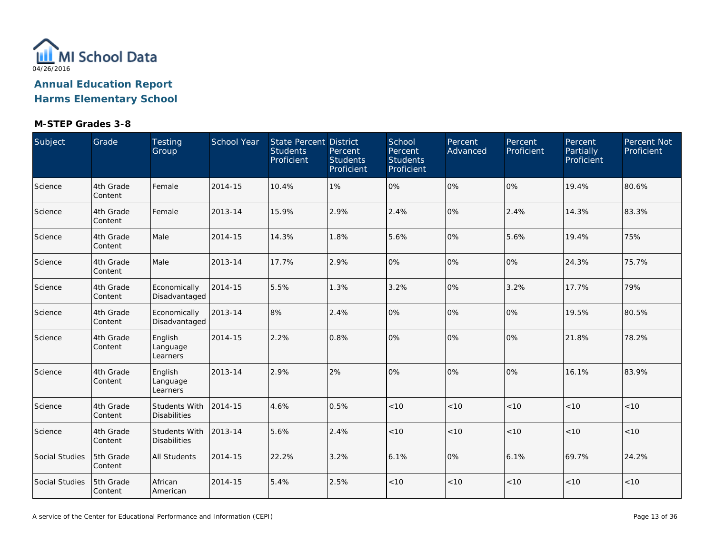

| Subject        | Grade                | Testing<br>Group                            | School Year | <b>State Percent District</b><br><b>Students</b><br>Proficient | Percent<br><b>Students</b><br>Proficient | School<br>Percent<br><b>Students</b><br>Proficient | Percent<br>Advanced | Percent<br>Proficient | Percent<br>Partially<br>Proficient | Percent Not<br>Proficient |
|----------------|----------------------|---------------------------------------------|-------------|----------------------------------------------------------------|------------------------------------------|----------------------------------------------------|---------------------|-----------------------|------------------------------------|---------------------------|
| Science        | 4th Grade<br>Content | Female                                      | 2014-15     | 10.4%                                                          | 1%                                       | 0%                                                 | 0%                  | 0%                    | 19.4%                              | 80.6%                     |
| Science        | 4th Grade<br>Content | Female                                      | 2013-14     | 15.9%                                                          | 2.9%                                     | 2.4%                                               | 0%                  | 2.4%                  | 14.3%                              | 83.3%                     |
| Science        | 4th Grade<br>Content | Male                                        | 2014-15     | 14.3%                                                          | 1.8%                                     | 5.6%                                               | 0%                  | 5.6%                  | 19.4%                              | 75%                       |
| Science        | 4th Grade<br>Content | Male                                        | 2013-14     | 17.7%                                                          | 2.9%                                     | 0%                                                 | 0%                  | 0%                    | 24.3%                              | 75.7%                     |
| Science        | 4th Grade<br>Content | Economically<br>Disadvantaged               | 2014-15     | 5.5%                                                           | 1.3%                                     | 3.2%                                               | 0%                  | 3.2%                  | 17.7%                              | 79%                       |
| Science        | 4th Grade<br>Content | Economically<br>Disadvantaged               | 2013-14     | 8%                                                             | 2.4%                                     | 0%                                                 | 0%                  | 0%                    | 19.5%                              | 80.5%                     |
| Science        | 4th Grade<br>Content | English<br>Language<br>Learners             | 2014-15     | 2.2%                                                           | 0.8%                                     | 0%                                                 | 0%                  | 0%                    | 21.8%                              | 78.2%                     |
| Science        | 4th Grade<br>Content | English<br>Language<br>Learners             | 2013-14     | 2.9%                                                           | 2%                                       | 0%                                                 | 0%                  | 0%                    | 16.1%                              | 83.9%                     |
| Science        | 4th Grade<br>Content | <b>Students With</b><br><b>Disabilities</b> | 2014-15     | 4.6%                                                           | 0.5%                                     | $<10$                                              | < 10                | < 10                  | < 10                               | < 10                      |
| Science        | 4th Grade<br>Content | Students With<br><b>Disabilities</b>        | 2013-14     | 5.6%                                                           | 2.4%                                     | < 10                                               | < 10                | < 10                  | < 10                               | < 10                      |
| Social Studies | 5th Grade<br>Content | <b>All Students</b>                         | 2014-15     | 22.2%                                                          | 3.2%                                     | 6.1%                                               | 0%                  | 6.1%                  | 69.7%                              | 24.2%                     |
| Social Studies | 5th Grade<br>Content | African<br>American                         | 2014-15     | 5.4%                                                           | 2.5%                                     | $<10$                                              | < 10                | < 10                  | < 10                               | < 10                      |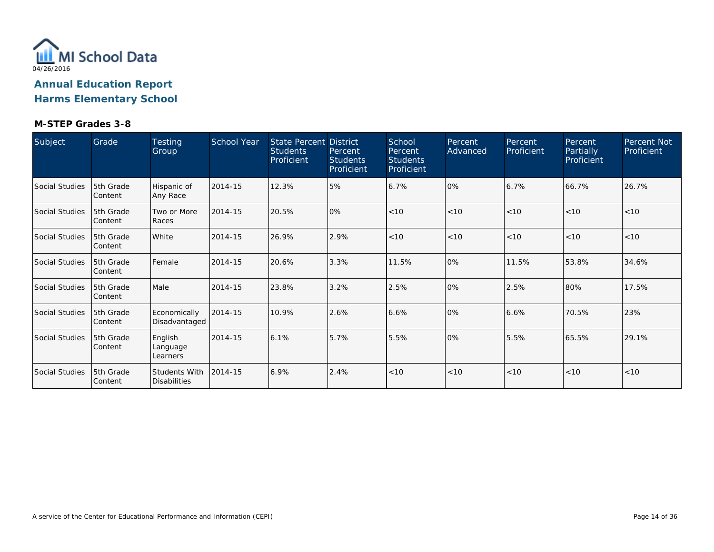

| Subject        | Grade                        | <b>Testing</b><br>Group              | School Year | <b>State Percent District</b><br><b>Students</b><br>Proficient | Percent<br><b>Students</b><br>Proficient | School<br>Percent<br><b>Students</b><br>Proficient | Percent<br>Advanced | Percent<br>Proficient | Percent<br>Partially<br>Proficient | <b>Percent Not</b><br>Proficient |
|----------------|------------------------------|--------------------------------------|-------------|----------------------------------------------------------------|------------------------------------------|----------------------------------------------------|---------------------|-----------------------|------------------------------------|----------------------------------|
| Social Studies | <b>5th Grade</b><br> Content | Hispanic of<br>Any Race              | 2014-15     | 12.3%                                                          | 5%                                       | 6.7%                                               | 0%                  | 6.7%                  | 66.7%                              | 26.7%                            |
| Social Studies | 15th Grade<br> Content       | Two or More<br>Races                 | 2014-15     | 20.5%                                                          | 0%                                       | < 10                                               | < 10                | < 10                  | < 10                               | < 10                             |
| Social Studies | <b>5th Grade</b><br> Content | White                                | 2014-15     | 26.9%                                                          | 2.9%                                     | < 10                                               | < 10                | < 10                  | < 10                               | < 10                             |
| Social Studies | 5th Grade<br>lContent        | Female                               | 2014-15     | 20.6%                                                          | 3.3%                                     | 11.5%                                              | 0%                  | 11.5%                 | 53.8%                              | 34.6%                            |
| Social Studies | <b>5th Grade</b><br>Content  | Male                                 | 2014-15     | 23.8%                                                          | 3.2%                                     | 2.5%                                               | 0%                  | 2.5%                  | 80%                                | 17.5%                            |
| Social Studies | 5th Grade<br> Content        | Economically<br>Disadvantaged        | 2014-15     | 10.9%                                                          | 2.6%                                     | 6.6%                                               | 0%                  | 6.6%                  | 70.5%                              | 23%                              |
| Social Studies | <b>5th Grade</b><br>lContent | English<br>Language<br>Learners      | 2014-15     | 6.1%                                                           | 5.7%                                     | 5.5%                                               | 0%                  | 5.5%                  | 65.5%                              | 29.1%                            |
| Social Studies | 5th Grade<br>lContent        | Students With<br><b>Disabilities</b> | 2014-15     | 6.9%                                                           | 2.4%                                     | < 10                                               | < 10                | < 10                  | < 10                               | < 10                             |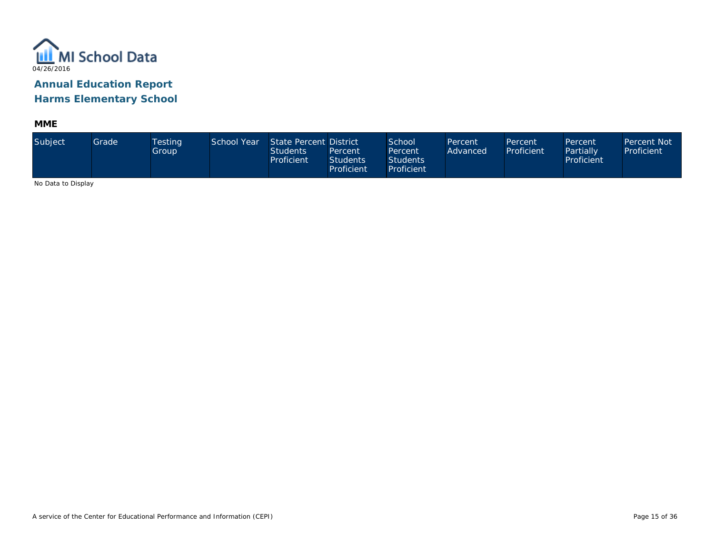

**MME**

| Subject                     | Grade | Testing<br>Group | School Year | State Percent District<br><b>Students</b><br>Proficient | Percent<br><b>Students</b><br>Proficient | School<br>Percent<br><b>Students</b><br>Proficient | Percent<br>Advanced | Percent<br>Proficient | Percent<br>Partially<br>Proficient | <b>Percent Not</b><br>Proficient |
|-----------------------------|-------|------------------|-------------|---------------------------------------------------------|------------------------------------------|----------------------------------------------------|---------------------|-----------------------|------------------------------------|----------------------------------|
| <b>ALCOHOL: U. D. L. L.</b> |       |                  |             |                                                         |                                          |                                                    |                     |                       |                                    |                                  |

No Data to Display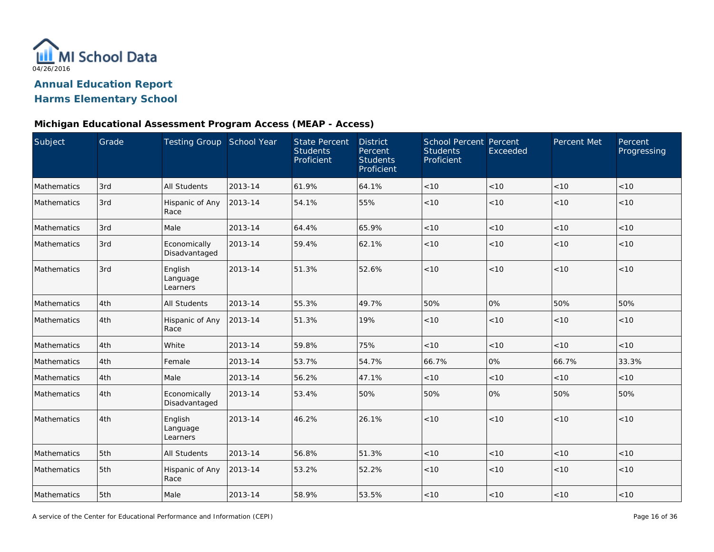

### **Michigan Educational Assessment Program Access (MEAP - Access)**

| Subject            | Grade | Testing Group School Year       |         | <b>State Percent</b><br><b>Students</b><br>Proficient | <b>District</b><br>Percent<br><b>Students</b><br>Proficient | <b>School Percent Percent</b><br><b>Students</b><br>Proficient | Exceeded | Percent Met | Percent<br>Progressing |
|--------------------|-------|---------------------------------|---------|-------------------------------------------------------|-------------------------------------------------------------|----------------------------------------------------------------|----------|-------------|------------------------|
| Mathematics        | 3rd   | <b>All Students</b>             | 2013-14 | 61.9%                                                 | 64.1%                                                       | < 10                                                           | < 10     | < 10        | < 10                   |
| Mathematics        | 3rd   | Hispanic of Any<br>Race         | 2013-14 | 54.1%                                                 | 55%                                                         | < 10                                                           | < 10     | < 10        | < 10                   |
| <b>Mathematics</b> | 3rd   | Male                            | 2013-14 | 64.4%                                                 | 65.9%                                                       | < 10                                                           | < 10     | < 10        | < 10                   |
| Mathematics        | 3rd   | Economically<br>Disadvantaged   | 2013-14 | 59.4%                                                 | 62.1%                                                       | < 10                                                           | < 10     | < 10        | < 10                   |
| Mathematics        | 3rd   | English<br>Language<br>Learners | 2013-14 | 51.3%                                                 | 52.6%                                                       | < 10                                                           | < 10     | < 10        | < 10                   |
| Mathematics        | 4th   | <b>All Students</b>             | 2013-14 | 55.3%                                                 | 49.7%                                                       | 50%                                                            | 0%       | 50%         | 50%                    |
| Mathematics        | 4th   | Hispanic of Any<br>Race         | 2013-14 | 51.3%                                                 | 19%                                                         | $<10$                                                          | < 10     | < 10        | < 10                   |
| Mathematics        | 4th   | White                           | 2013-14 | 59.8%                                                 | 75%                                                         | < 10                                                           | < 10     | < 10        | < 10                   |
| Mathematics        | 4th   | Female                          | 2013-14 | 53.7%                                                 | 54.7%                                                       | 66.7%                                                          | 0%       | 66.7%       | 33.3%                  |
| Mathematics        | 4th   | Male                            | 2013-14 | 56.2%                                                 | 47.1%                                                       | < 10                                                           | < 10     | < 10        | < 10                   |
| Mathematics        | 4th   | Economically<br>Disadvantaged   | 2013-14 | 53.4%                                                 | 50%                                                         | 50%                                                            | 0%       | 50%         | 50%                    |
| Mathematics        | 4th   | English<br>Language<br>Learners | 2013-14 | 46.2%                                                 | 26.1%                                                       | < 10                                                           | < 10     | < 10        | < 10                   |
| Mathematics        | 5th   | All Students                    | 2013-14 | 56.8%                                                 | 51.3%                                                       | $<10$                                                          | $<10$    | $<10$       | < 10                   |
| <b>Mathematics</b> | 5th   | Hispanic of Any<br>Race         | 2013-14 | 53.2%                                                 | 52.2%                                                       | < 10                                                           | < 10     | < 10        | < 10                   |
| Mathematics        | 5th   | Male                            | 2013-14 | 58.9%                                                 | 53.5%                                                       | < 10                                                           | $<10$    | < 10        | < 10                   |

A service of the Center for Educational Performance and Information (CEPI)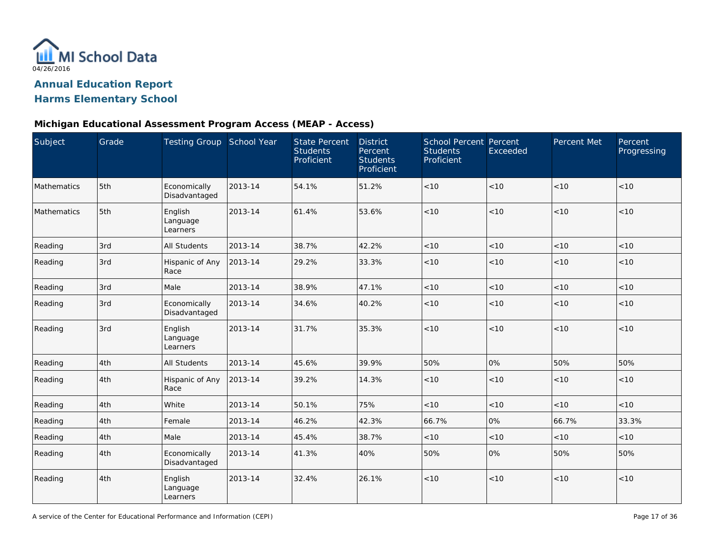

### **Michigan Educational Assessment Program Access (MEAP - Access)**

| Subject     | Grade | Testing Group School Year       |         | <b>State Percent</b><br><b>Students</b><br>Proficient | <b>District</b><br>Percent<br><b>Students</b><br>Proficient | <b>School Percent Percent</b><br><b>Students</b><br>Proficient | Exceeded | Percent Met | Percent<br>Progressing |
|-------------|-------|---------------------------------|---------|-------------------------------------------------------|-------------------------------------------------------------|----------------------------------------------------------------|----------|-------------|------------------------|
| Mathematics | 5th   | Economically<br>Disadvantaged   | 2013-14 | 54.1%                                                 | 51.2%                                                       | < 10                                                           | < 10     | < 10        | < 10                   |
| Mathematics | 5th   | English<br>Language<br>Learners | 2013-14 | 61.4%                                                 | 53.6%                                                       | < 10                                                           | < 10     | < 10        | < 10                   |
| Reading     | 3rd   | All Students                    | 2013-14 | 38.7%                                                 | 42.2%                                                       | < 10                                                           | < 10     | < 10        | < 10                   |
| Reading     | 3rd   | Hispanic of Any<br>Race         | 2013-14 | 29.2%                                                 | 33.3%                                                       | < 10                                                           | < 10     | < 10        | < 10                   |
| Reading     | 3rd   | Male                            | 2013-14 | 38.9%                                                 | 47.1%                                                       | < 10                                                           | < 10     | < 10        | < 10                   |
| Reading     | 3rd   | Economically<br>Disadvantaged   | 2013-14 | 34.6%                                                 | 40.2%                                                       | < 10                                                           | < 10     | < 10        | < 10                   |
| Reading     | 3rd   | English<br>Language<br>Learners | 2013-14 | 31.7%                                                 | 35.3%                                                       | $<10$                                                          | < 10     | < 10        | < 10                   |
| Reading     | 4th   | <b>All Students</b>             | 2013-14 | 45.6%                                                 | 39.9%                                                       | 50%                                                            | 0%       | 50%         | 50%                    |
| Reading     | 4th   | Hispanic of Any<br>Race         | 2013-14 | 39.2%                                                 | 14.3%                                                       | < 10                                                           | < 10     | < 10        | < 10                   |
| Reading     | 4th   | White                           | 2013-14 | 50.1%                                                 | 75%                                                         | < 10                                                           | < 10     | < 10        | < 10                   |
| Reading     | 4th   | Female                          | 2013-14 | 46.2%                                                 | 42.3%                                                       | 66.7%                                                          | 0%       | 66.7%       | 33.3%                  |
| Reading     | 4th   | Male                            | 2013-14 | 45.4%                                                 | 38.7%                                                       | < 10                                                           | < 10     | < 10        | < 10                   |
| Reading     | 4th   | Economically<br>Disadvantaged   | 2013-14 | 41.3%                                                 | 40%                                                         | 50%                                                            | 0%       | 50%         | 50%                    |
| Reading     | 4th   | English<br>Language<br>Learners | 2013-14 | 32.4%                                                 | 26.1%                                                       | $<10$                                                          | < 10     | < 10        | < 10                   |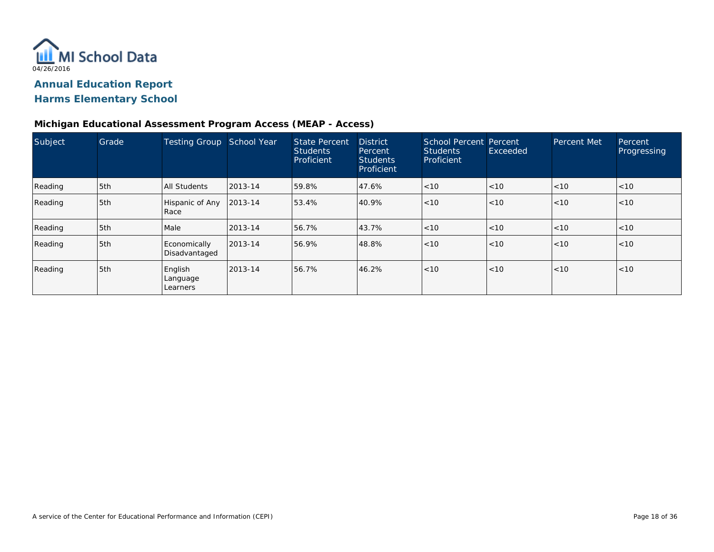

### **Michigan Educational Assessment Program Access (MEAP - Access)**

| Subject | Grade | <b>Testing Group</b>            | School Year | <b>State Percent</b><br><b>Students</b><br>Proficient | <b>District</b><br>Percent<br><b>Students</b><br>Proficient | School Percent Percent<br><b>Students</b><br>Proficient | Exceeded | Percent Met | Percent<br>Progressing |
|---------|-------|---------------------------------|-------------|-------------------------------------------------------|-------------------------------------------------------------|---------------------------------------------------------|----------|-------------|------------------------|
| Reading | 5th   | <b>All Students</b>             | 2013-14     | 59.8%                                                 | 47.6%                                                       | < 10                                                    | < 10     | < 10        | < 10                   |
| Reading | 5th   | Hispanic of Any<br>Race         | 2013-14     | 53.4%                                                 | 40.9%                                                       | < 10                                                    | < 10     | <10         | < 10                   |
| Reading | 5th   | Male                            | 2013-14     | 56.7%                                                 | 43.7%                                                       | < 10                                                    | <10      | < 10        | < 10                   |
| Reading | 5th   | Economically<br>Disadvantaged   | 2013-14     | 56.9%                                                 | 48.8%                                                       | < 10                                                    | < 10     | <10         | < 10                   |
| Reading | 5th   | English<br>Language<br>Learners | 2013-14     | 56.7%                                                 | 46.2%                                                       | < 10                                                    | < 10     | <10         | < 10                   |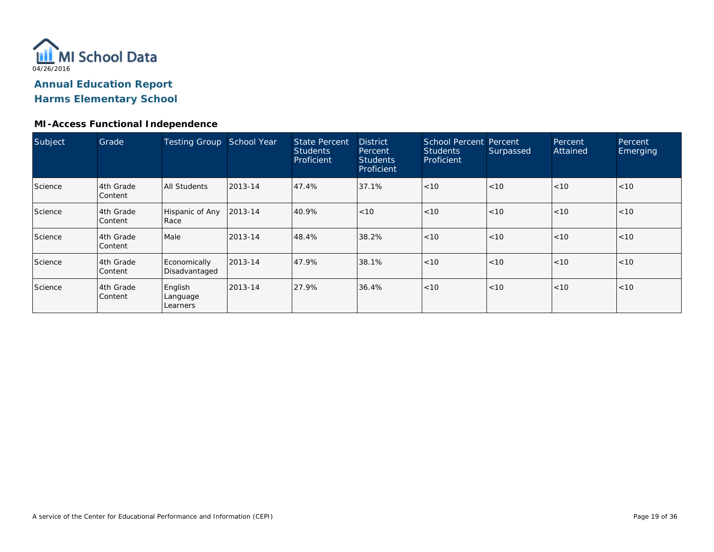

### **MI-Access Functional Independence**

| Subject | Grade                       | <b>Testing Group</b>            | School Year | State Percent<br><b>Students</b><br>Proficient | <b>District</b><br>Percent<br><b>Students</b><br>Proficient | School Percent Percent<br><b>Students</b><br>Proficient | Surpassed | Percent<br>Attained | Percent<br>Emerging |
|---------|-----------------------------|---------------------------------|-------------|------------------------------------------------|-------------------------------------------------------------|---------------------------------------------------------|-----------|---------------------|---------------------|
| Science | 4th Grade<br>Content        | All Students                    | 2013-14     | 47.4%                                          | 37.1%                                                       | < 10                                                    | < 10      | < 10                | < 10                |
| Science | 4th Grade<br><b>Content</b> | Hispanic of Any<br>Race         | 2013-14     | 40.9%                                          | < 10                                                        | < 10                                                    | < 10      | < 10                | < 10                |
| Science | l4th Grade<br>Content       | Male                            | 2013-14     | 48.4%                                          | 38.2%                                                       | < 10                                                    | < 10      | < 10                | < 10                |
| Science | l4th Grade<br>Content       | Economically<br>Disadvantaged   | 2013-14     | 47.9%                                          | 38.1%                                                       | < 10                                                    | < 10      | < 10                | <10                 |
| Science | 4th Grade<br><b>Content</b> | English<br>Language<br>Learners | 2013-14     | 27.9%                                          | 36.4%                                                       | < 10                                                    | < 10      | < 10                | < 10                |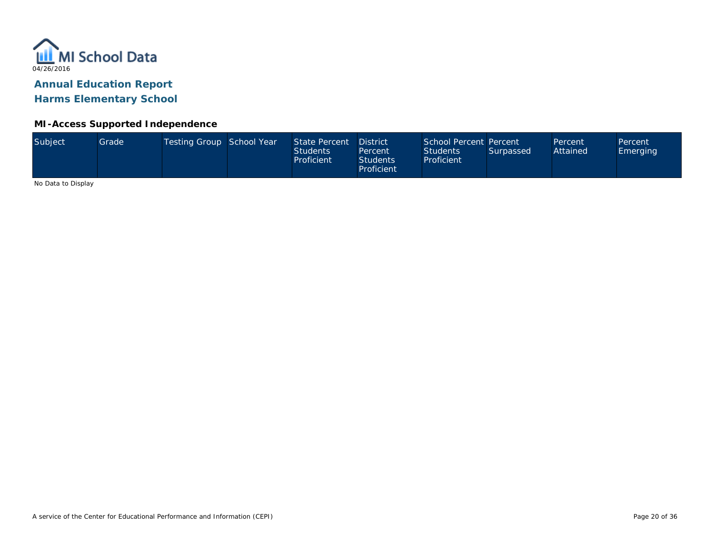

# **Annual Education Report**

**Harms Elementary School**

### **MI-Access Supported Independence**

| Subject<br>Testing Group School Year<br>School Percent Percent<br>State Percent<br><b>District</b><br>Grade<br>Percent<br>Percent<br>Attained<br><b>Students</b><br><b>Students</b><br>Surpassed<br>Percent<br>Proficient<br>Proficient<br><b>Students</b><br>Proficient |  |  |  |  |  |  |  |  |  | <b>Emerging</b> |
|--------------------------------------------------------------------------------------------------------------------------------------------------------------------------------------------------------------------------------------------------------------------------|--|--|--|--|--|--|--|--|--|-----------------|
|--------------------------------------------------------------------------------------------------------------------------------------------------------------------------------------------------------------------------------------------------------------------------|--|--|--|--|--|--|--|--|--|-----------------|

No Data to Display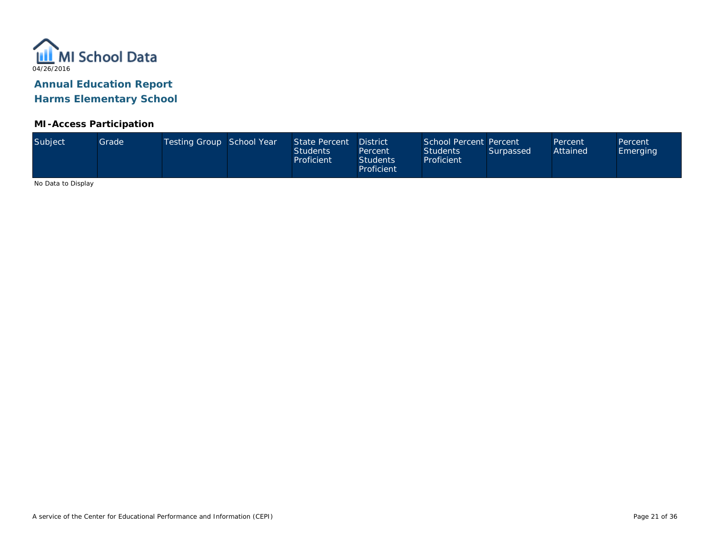

### **MI-Access Participation**

| Subject<br>Testing Group School Year<br>State Percent<br>Grade <sup>1</sup><br>Attained<br><b>Students</b><br><b>Students</b><br>Surpassed<br><b>Emerging</b><br>Percent<br>Proficient<br>Proficient<br><b>Students</b><br>Proficient | School Percent Percent<br><b>District</b><br>Percent<br>Percent |
|---------------------------------------------------------------------------------------------------------------------------------------------------------------------------------------------------------------------------------------|-----------------------------------------------------------------|
|---------------------------------------------------------------------------------------------------------------------------------------------------------------------------------------------------------------------------------------|-----------------------------------------------------------------|

No Data to Display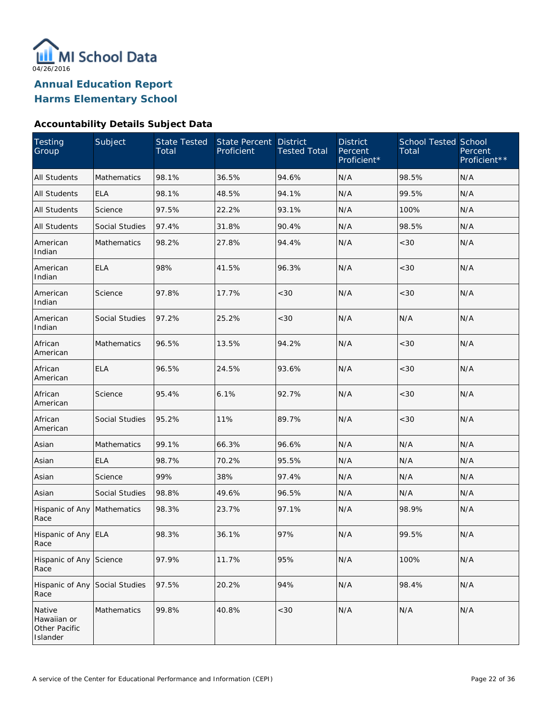

### **Accountability Details Subject Data**

| <b>Testing</b><br>Group                            | Subject               | <b>State Tested</b><br>Total | <b>State Percent</b><br>Proficient | <b>District</b><br><b>Tested Total</b> | <b>District</b><br>Percent<br>Proficient* | <b>School Tested School</b><br>Total | Percent<br>Proficient** |
|----------------------------------------------------|-----------------------|------------------------------|------------------------------------|----------------------------------------|-------------------------------------------|--------------------------------------|-------------------------|
| <b>All Students</b>                                | <b>Mathematics</b>    | 98.1%                        | 36.5%                              | 94.6%                                  | N/A                                       | 98.5%                                | N/A                     |
| All Students                                       | <b>ELA</b>            | 98.1%                        | 48.5%                              | 94.1%                                  | N/A                                       | 99.5%                                | N/A                     |
| All Students                                       | Science               | 97.5%                        | 22.2%                              | 93.1%                                  | N/A                                       | 100%                                 | N/A                     |
| All Students                                       | Social Studies        | 97.4%                        | 31.8%                              | 90.4%                                  | N/A                                       | 98.5%                                | N/A                     |
| American<br>Indian                                 | Mathematics           | 98.2%                        | 27.8%                              | 94.4%                                  | N/A                                       | <30                                  | N/A                     |
| American<br>Indian                                 | <b>ELA</b>            | 98%                          | 41.5%                              | 96.3%                                  | N/A                                       | < 30                                 | N/A                     |
| American<br>Indian                                 | Science               | 97.8%                        | 17.7%                              | <30                                    | N/A                                       | <30                                  | N/A                     |
| American<br>Indian                                 | Social Studies        | 97.2%                        | 25.2%                              | <30                                    | N/A                                       | N/A                                  | N/A                     |
| African<br>American                                | Mathematics           | 96.5%                        | 13.5%                              | 94.2%                                  | N/A                                       | < 30                                 | N/A                     |
| African<br>American                                | <b>ELA</b>            | 96.5%                        | 24.5%                              | 93.6%                                  | N/A                                       | <30                                  | N/A                     |
| African<br>American                                | Science               | 95.4%                        | 6.1%                               | 92.7%                                  | N/A                                       | <30                                  | N/A                     |
| African<br>American                                | Social Studies        | 95.2%                        | 11%                                | 89.7%                                  | N/A                                       | < 30                                 | N/A                     |
| Asian                                              | Mathematics           | 99.1%                        | 66.3%                              | 96.6%                                  | N/A                                       | N/A                                  | N/A                     |
| Asian                                              | <b>ELA</b>            | 98.7%                        | 70.2%                              | 95.5%                                  | N/A                                       | N/A                                  | N/A                     |
| Asian                                              | Science               | 99%                          | 38%                                | 97.4%                                  | N/A                                       | N/A                                  | N/A                     |
| Asian                                              | <b>Social Studies</b> | 98.8%                        | 49.6%                              | 96.5%                                  | N/A                                       | N/A                                  | N/A                     |
| Hispanic of Any<br>Race                            | Mathematics           | 98.3%                        | 23.7%                              | 97.1%                                  | N/A                                       | 98.9%                                | N/A                     |
| Hispanic of Any ELA<br>Race                        |                       | 98.3%                        | 36.1%                              | 97%                                    | N/A                                       | 99.5%                                | N/A                     |
| Hispanic of Any<br>Race                            | Science               | 97.9%                        | 11.7%                              | 95%                                    | N/A                                       | 100%                                 | N/A                     |
| Hispanic of Any<br>Race                            | Social Studies        | 97.5%                        | 20.2%                              | 94%                                    | N/A                                       | 98.4%                                | N/A                     |
| Native<br>Hawaiian or<br>Other Pacific<br>Islander | Mathematics           | 99.8%                        | 40.8%                              | <30                                    | N/A                                       | N/A                                  | N/A                     |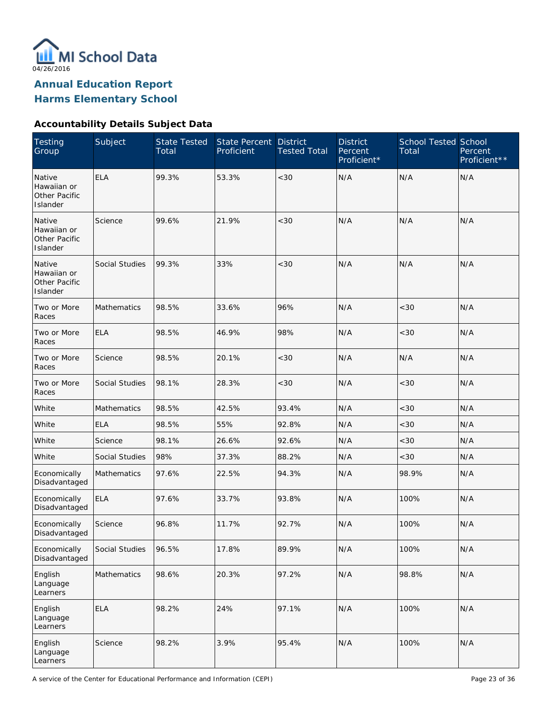

**Annual Education Report**

### **Harms Elementary School**

### **Accountability Details Subject Data**

| Testing<br>Group                                   | Subject            | <b>State Tested</b><br>Total | State Percent<br>Proficient | <b>District</b><br><b>Tested Total</b> | <b>District</b><br>Percent<br>Proficient* | <b>School Tested School</b><br>Total | Percent<br>Proficient** |
|----------------------------------------------------|--------------------|------------------------------|-----------------------------|----------------------------------------|-------------------------------------------|--------------------------------------|-------------------------|
| Native<br>Hawaiian or<br>Other Pacific<br>Islander | <b>ELA</b>         | 99.3%                        | 53.3%                       | < 30                                   | N/A                                       | N/A                                  | N/A                     |
| Native<br>Hawaiian or<br>Other Pacific<br>Islander | Science            | 99.6%                        | 21.9%                       | < 30                                   | N/A                                       | N/A                                  | N/A                     |
| Native<br>Hawaiian or<br>Other Pacific<br>Islander | Social Studies     | 99.3%                        | 33%                         | < 30                                   | N/A                                       | N/A                                  | N/A                     |
| Two or More<br>Races                               | Mathematics        | 98.5%                        | 33.6%                       | 96%                                    | N/A                                       | < 30                                 | N/A                     |
| Two or More<br>Races                               | <b>ELA</b>         | 98.5%                        | 46.9%                       | 98%                                    | N/A                                       | <30                                  | N/A                     |
| Two or More<br>Races                               | Science            | 98.5%                        | 20.1%                       | < 30                                   | N/A                                       | N/A                                  | N/A                     |
| Two or More<br>Races                               | Social Studies     | 98.1%                        | 28.3%                       | $<30$                                  | N/A                                       | <30                                  | N/A                     |
| White                                              | <b>Mathematics</b> | 98.5%                        | 42.5%                       | 93.4%                                  | N/A                                       | <30                                  | N/A                     |
| White                                              | <b>ELA</b>         | 98.5%                        | 55%                         | 92.8%                                  | N/A                                       | <30                                  | N/A                     |
| White                                              | Science            | 98.1%                        | 26.6%                       | 92.6%                                  | N/A                                       | <30                                  | N/A                     |
| White                                              | Social Studies     | 98%                          | 37.3%                       | 88.2%                                  | N/A                                       | <30                                  | N/A                     |
| Economically<br>Disadvantaged                      | <b>Mathematics</b> | 97.6%                        | 22.5%                       | 94.3%                                  | N/A                                       | 98.9%                                | N/A                     |
| Economically<br>Disadvantaged                      | <b>ELA</b>         | 97.6%                        | 33.7%                       | 93.8%                                  | N/A                                       | 100%                                 | N/A                     |
| Economically<br>Disadvantaged                      | Science            | 96.8%                        | 11.7%                       | 92.7%                                  | N/A                                       | 100%                                 | N/A                     |
| Economically<br>Disadvantaged                      | Social Studies     | 96.5%                        | 17.8%                       | 89.9%                                  | N/A                                       | 100%                                 | N/A                     |
| English<br>Language<br>Learners                    | Mathematics        | 98.6%                        | 20.3%                       | 97.2%                                  | N/A                                       | 98.8%                                | N/A                     |
| English<br>Language<br>Learners                    | <b>ELA</b>         | 98.2%                        | 24%                         | 97.1%                                  | N/A                                       | 100%                                 | N/A                     |
| English<br>Language<br>Learners                    | Science            | 98.2%                        | 3.9%                        | 95.4%                                  | N/A                                       | 100%                                 | N/A                     |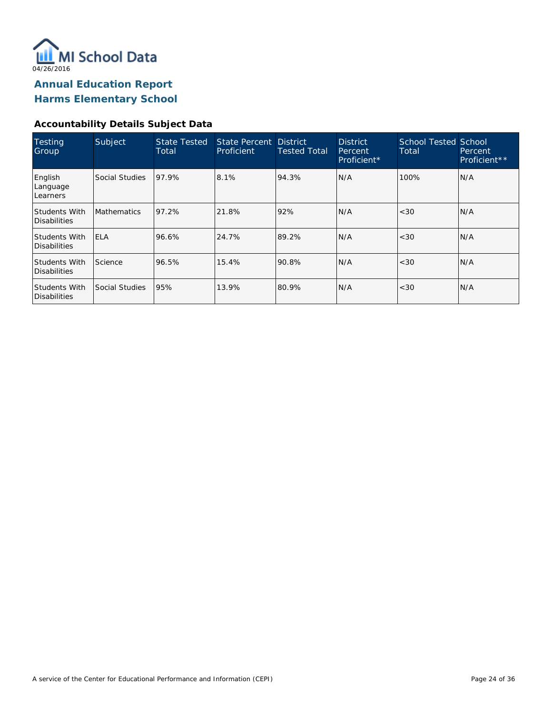

**Annual Education Report**

**Harms Elementary School**

### **Accountability Details Subject Data**

| Testing<br>Group                            | Subject            | <b>State Tested</b><br>Total | State Percent District<br>Proficient | Tested Total | <b>District</b><br>Percent<br>Proficient* | <b>School Tested School</b><br>Total | Percent<br>Proficient** |
|---------------------------------------------|--------------------|------------------------------|--------------------------------------|--------------|-------------------------------------------|--------------------------------------|-------------------------|
| English<br>Language<br>Learners             | Social Studies     | 97.9%                        | 8.1%                                 | 94.3%        | N/A                                       | 100%                                 | N/A                     |
| <b>Students With</b><br>Disabilities        | <b>Mathematics</b> | 97.2%                        | 21.8%                                | 92%          | N/A                                       | < 30                                 | N/A                     |
| <b>Students With</b><br><b>Disabilities</b> | <b>IELA</b>        | 96.6%                        | 24.7%                                | 89.2%        | N/A                                       | < 30                                 | N/A                     |
| <b>Students With</b><br>Disabilities        | Science            | 96.5%                        | 15.4%                                | 90.8%        | N/A                                       | < 30                                 | N/A                     |
| <b>Students With</b><br><b>Disabilities</b> | Social Studies     | 95%                          | 13.9%                                | 80.9%        | N/A                                       | < 30                                 | N/A                     |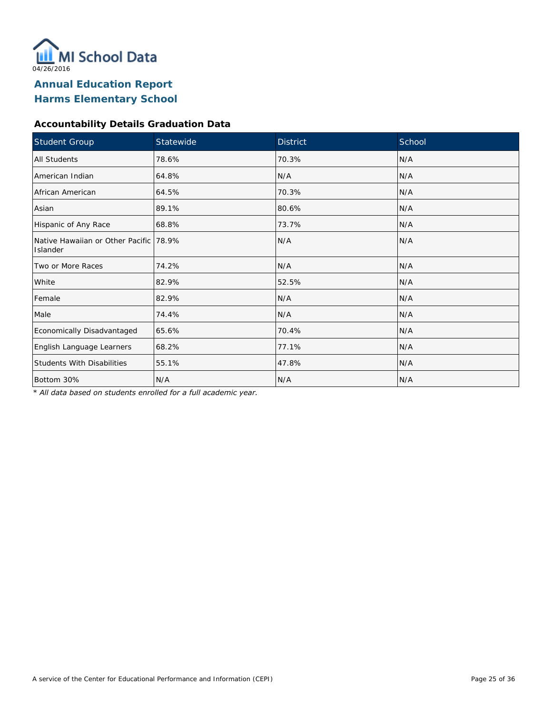

### **Accountability Details Graduation Data**

| Student Group                                      | Statewide | <b>District</b> | School |
|----------------------------------------------------|-----------|-----------------|--------|
| <b>All Students</b>                                | 78.6%     | 70.3%           | N/A    |
| American Indian                                    | 64.8%     | N/A             | N/A    |
| African American                                   | 64.5%     | 70.3%           | N/A    |
| Asian                                              | 89.1%     | 80.6%           | N/A    |
| Hispanic of Any Race                               | 68.8%     | 73.7%           | N/A    |
| Native Hawaiian or Other Pacific 78.9%<br>Islander |           | N/A             | N/A    |
| Two or More Races                                  | 74.2%     | N/A             | N/A    |
| White                                              | 82.9%     | 52.5%           | N/A    |
| Female                                             | 82.9%     | N/A             | N/A    |
| Male                                               | 74.4%     | N/A             | N/A    |
| Economically Disadvantaged                         | 65.6%     | 70.4%           | N/A    |
| English Language Learners                          | 68.2%     | 77.1%           | N/A    |
| <b>Students With Disabilities</b>                  | 55.1%     | 47.8%           | N/A    |
| Bottom 30%                                         | N/A       | N/A             | N/A    |

*\* All data based on students enrolled for a full academic year.*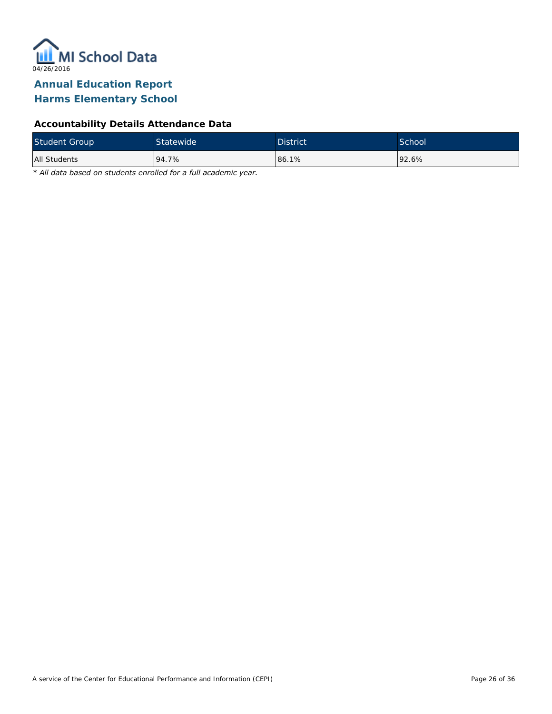

### **Accountability Details Attendance Data**

| <b>Student Group</b> | Statewide <sup>1</sup> | <b>District</b> | School <sup>'</sup> |
|----------------------|------------------------|-----------------|---------------------|
| All Students         | 94.7%                  | 86.1%           | $192.6\%$           |

*\* All data based on students enrolled for a full academic year.*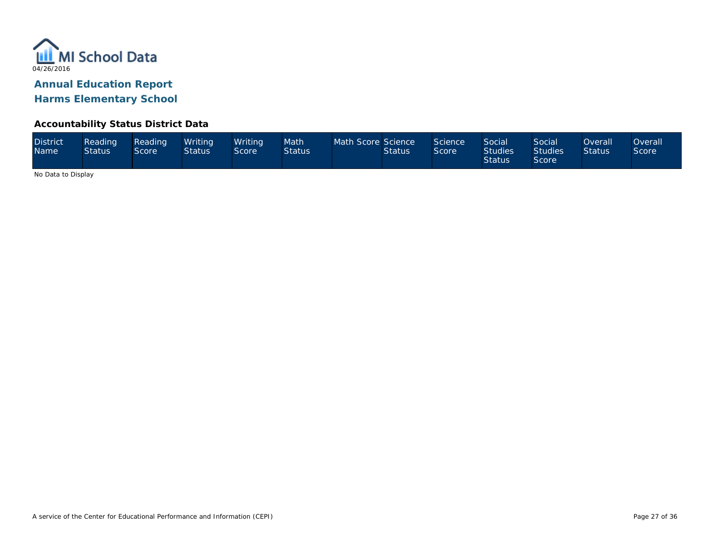

### **Accountability Status District Data**

| <b>District</b><br><b>Name</b> | Reading<br><b>Status</b> | Reading<br>Score <sup>1</sup> | Writina<br><b>Status</b> | Writina<br>Score | Math<br><b>Status</b> | Math Score Science | <b>Status</b> | Science<br>Score | Social<br><b>Studies</b><br><b>Status</b> | Social<br><b>Studies</b><br><b>Score</b> | <b>Overall</b><br><b>Status</b> | <b>Overall</b><br>Score |
|--------------------------------|--------------------------|-------------------------------|--------------------------|------------------|-----------------------|--------------------|---------------|------------------|-------------------------------------------|------------------------------------------|---------------------------------|-------------------------|
|--------------------------------|--------------------------|-------------------------------|--------------------------|------------------|-----------------------|--------------------|---------------|------------------|-------------------------------------------|------------------------------------------|---------------------------------|-------------------------|

No Data to Display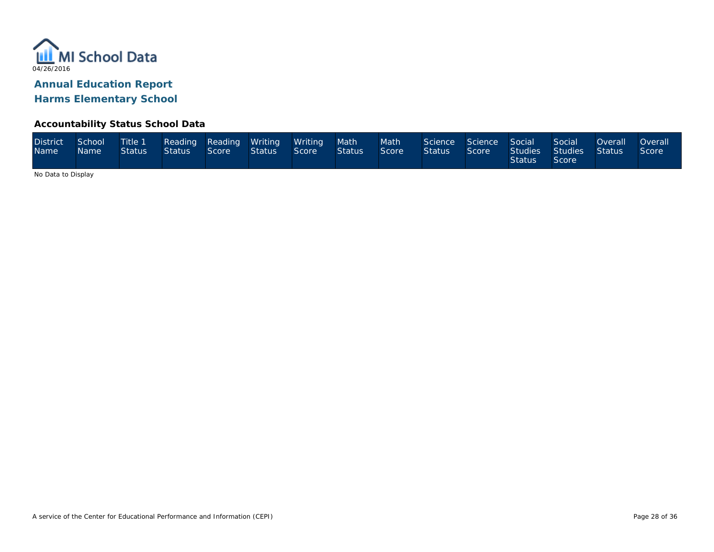

### **Accountability Status School Data**

| <b>District</b><br><b>Name</b> | School<br><b>Name</b> | <b>Title 1</b><br><b>Status</b> | Status | Score | Reading Reading Writing Writing Math<br><b>Status</b> | Score | Status <sup>1</sup> | Math<br>Score | Science Science Social<br><b>Status</b> | Score ' | Studies<br><b>Status</b> | Social<br>Studies<br>Score | Overall<br>Status I | <b>Overall</b><br>Score |
|--------------------------------|-----------------------|---------------------------------|--------|-------|-------------------------------------------------------|-------|---------------------|---------------|-----------------------------------------|---------|--------------------------|----------------------------|---------------------|-------------------------|
|--------------------------------|-----------------------|---------------------------------|--------|-------|-------------------------------------------------------|-------|---------------------|---------------|-----------------------------------------|---------|--------------------------|----------------------------|---------------------|-------------------------|

No Data to Display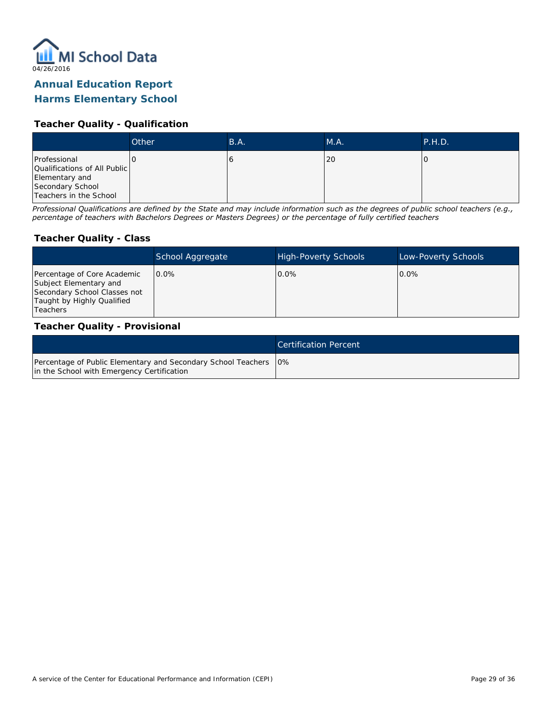

### **Annual Education Report**

### **Harms Elementary School**

### **Teacher Quality - Qualification**

|                                                                                                              | Other | B.A. | MA. | <b>P.H.D.</b> |
|--------------------------------------------------------------------------------------------------------------|-------|------|-----|---------------|
| Professional<br>Qualifications of All Public<br>Elementary and<br>Secondary School<br>Teachers in the School |       |      | 20  |               |

*Professional Qualifications are defined by the State and may include information such as the degrees of public school teachers (e.g., percentage of teachers with Bachelors Degrees or Masters Degrees) or the percentage of fully certified teachers*

#### **Teacher Quality - Class**

|                                                                                                                                   | School Aggregate | <b>High-Poverty Schools</b> | Low-Poverty Schools |
|-----------------------------------------------------------------------------------------------------------------------------------|------------------|-----------------------------|---------------------|
| Percentage of Core Academic<br>Subject Elementary and<br>Secondary School Classes not<br>Taught by Highly Qualified<br>l Teachers | $0.0\%$          | $0.0\%$                     | $0.0\%$             |

#### **Teacher Quality - Provisional**

|                                                                                                                  | Certification Percent |
|------------------------------------------------------------------------------------------------------------------|-----------------------|
| Percentage of Public Elementary and Secondary School Teachers   0%<br>in the School with Emergency Certification |                       |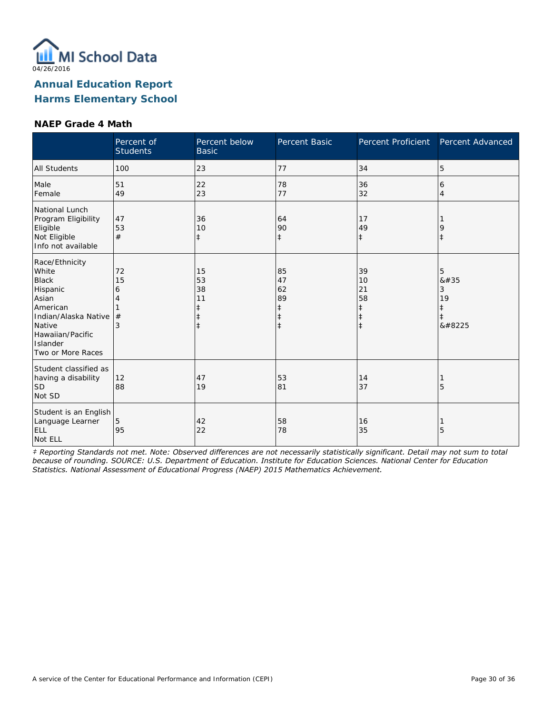

#### **NAEP Grade 4 Math**

|                                                                                                                                                                 | Percent of<br><b>Students</b> | Percent below<br><b>Basic</b>                    | Percent Basic                                         | Percent Proficient                                             | Percent Advanced               |
|-----------------------------------------------------------------------------------------------------------------------------------------------------------------|-------------------------------|--------------------------------------------------|-------------------------------------------------------|----------------------------------------------------------------|--------------------------------|
| <b>All Students</b>                                                                                                                                             | 100                           | 23                                               | 77                                                    | 34                                                             | 5                              |
| Male<br>Female                                                                                                                                                  | 51<br>49                      | 22<br>23                                         | 78<br>77                                              | 36<br>32                                                       | 6<br>$\overline{4}$            |
| National Lunch<br>Program Eligibility<br>Eligible<br>Not Eligible<br>Info not available                                                                         | 47<br>53<br>#                 | 36<br>10<br>$\ddagger$                           | 64<br>90<br>$\ddagger$                                | 17<br>49<br>$\ddagger$                                         | 9<br>$\ddagger$                |
| Race/Ethnicity<br>White<br><b>Black</b><br>Hispanic<br>Asian<br>American<br>Indian/Alaska Native<br>Native<br>Hawaiian/Pacific<br>Islander<br>Two or More Races | 72<br>15<br>6<br>4<br>#<br>3  | 15<br>53<br>38<br>11<br>$\ddagger$<br>$\ddagger$ | 85<br>47<br>62<br>89<br>$\ddagger$<br>ŧ<br>$\ddagger$ | 39<br>10<br>21<br>58<br>$\ddagger$<br>$\ddagger$<br>$\ddagger$ | 5<br>8#35<br>3<br>19<br>‡<br>‡ |
| Student classified as<br>having a disability<br><b>SD</b><br>Not SD                                                                                             | 12<br>88                      | 47<br>19                                         | 53<br>81                                              | 14<br>37                                                       | 5                              |
| Student is an English<br>Language Learner<br><b>ELL</b><br>Not ELL                                                                                              | 5<br>95                       | 42<br>22                                         | 58<br>78                                              | 16<br>35                                                       | 5                              |

*‡ Reporting Standards not met. Note: Observed differences are not necessarily statistically significant. Detail may not sum to total because of rounding. SOURCE: U.S. Department of Education. Institute for Education Sciences. National Center for Education Statistics. National Assessment of Educational Progress (NAEP) 2015 Mathematics Achievement.*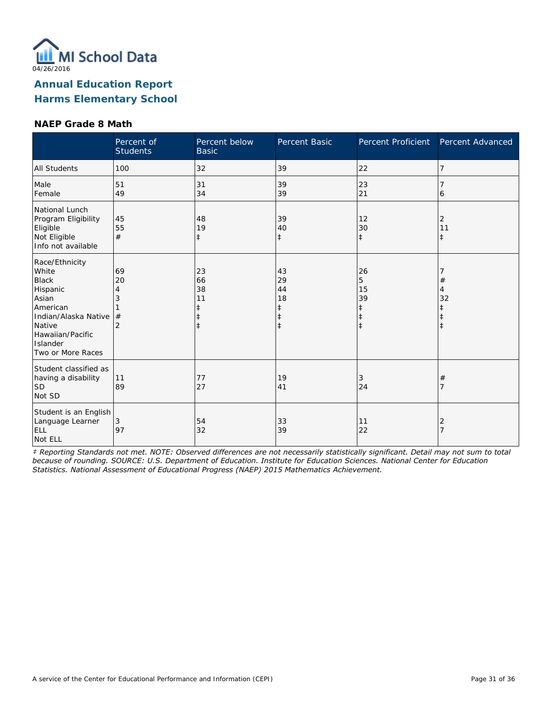

### **NAEP Grade 8 Math**

|                                                                                                                                                                 | Percent of<br><b>Students</b>             | Percent below<br><b>Basic</b>                                  | Percent Basic                                         | Percent Proficient                                   | Percent Advanced      |
|-----------------------------------------------------------------------------------------------------------------------------------------------------------------|-------------------------------------------|----------------------------------------------------------------|-------------------------------------------------------|------------------------------------------------------|-----------------------|
| <b>All Students</b>                                                                                                                                             | 100                                       | 32                                                             | 39                                                    | 22                                                   | 7                     |
| Male<br>Female                                                                                                                                                  | 51<br>49                                  | 31<br>34                                                       | 39<br>39                                              | 23<br>21                                             | 6                     |
| National Lunch<br>Program Eligibility<br>Eligible<br>Not Eligible<br>Info not available                                                                         | 45<br>55<br>#                             | 48<br>19<br>$\ddagger$                                         | 39<br>40<br>$\ddagger$                                | 12<br>30<br>$\ddagger$                               | 2<br>11<br>$\ddagger$ |
| Race/Ethnicity<br>White<br><b>Black</b><br>Hispanic<br>Asian<br>American<br>Indian/Alaska Native<br>Native<br>Hawaiian/Pacific<br>Islander<br>Two or More Races | 69<br>20<br>4<br>3<br>#<br>$\overline{2}$ | 23<br>66<br>38<br>11<br>$\ddagger$<br>$\ddagger$<br>$\ddagger$ | 43<br>29<br>44<br>18<br>$\ddagger$<br>ŧ<br>$\ddagger$ | 26<br>5<br>15<br>39<br>‡<br>$\ddagger$<br>$\ddagger$ | $^{\#}$<br>4<br>32    |
| Student classified as<br>having a disability<br>SD <sup> </sup><br>Not SD                                                                                       | 11<br>89                                  | 77<br>27                                                       | 19<br>41                                              | 3<br>24                                              | $^{\#}$               |
| Student is an English<br>Language Learner<br><b>ELL</b><br>Not ELL                                                                                              | 3<br>97                                   | 54<br>32                                                       | 33<br>39                                              | 11<br>22                                             | 2                     |

*‡ Reporting Standards not met. NOTE: Observed differences are not necessarily statistically significant. Detail may not sum to total because of rounding. SOURCE: U.S. Department of Education. Institute for Education Sciences. National Center for Education Statistics. National Assessment of Educational Progress (NAEP) 2015 Mathematics Achievement.*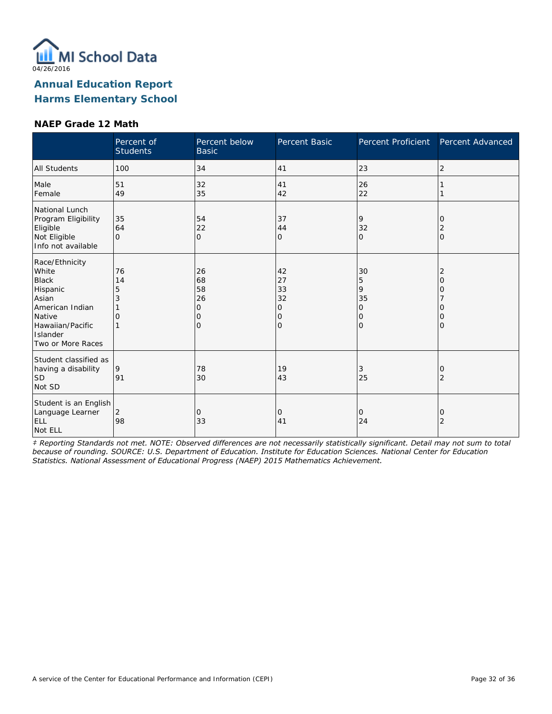

#### **NAEP Grade 12 Math**

|                                                                                                                                                | Percent of<br><b>Students</b> | Percent below<br><b>Basic</b>              | Percent Basic                                   | Percent Proficient                                       | Percent Advanced                                |
|------------------------------------------------------------------------------------------------------------------------------------------------|-------------------------------|--------------------------------------------|-------------------------------------------------|----------------------------------------------------------|-------------------------------------------------|
| <b>All Students</b>                                                                                                                            | 100                           | 34                                         | 41                                              | 23                                                       | 2                                               |
| Male<br>Female                                                                                                                                 | 51<br>49                      | 32<br>35                                   | 41<br>42                                        | 26<br>22                                                 |                                                 |
| National Lunch<br>Program Eligibility<br>Eligible<br>Not Eligible<br>Info not available                                                        | 35<br>64<br>$\Omega$          | 54<br>22<br>$\overline{0}$                 | 37<br>44<br>0                                   | 9<br>32<br>$\Omega$                                      | 0<br>2<br>l0                                    |
| Race/Ethnicity<br>White<br><b>Black</b><br>Hispanic<br>Asian<br>American Indian<br>Native<br>Hawaiian/Pacific<br>Islander<br>Two or More Races | 76<br>14<br>5<br>3<br>O       | 26<br>68<br>58<br>26<br>0<br>0<br>$\Omega$ | 42<br>27<br>33<br>32<br>0<br>0<br>$\mathcal{O}$ | 30<br>5<br>9<br>35<br>0<br>$\mathbf 0$<br>$\overline{O}$ | 2<br>0<br>O<br>$\Omega$<br>$\Omega$<br>$\Omega$ |
| Student classified as<br>having a disability<br><b>SD</b><br>Not SD                                                                            | 9<br>91                       | 78<br>30                                   | 19<br>43                                        | 3<br>25                                                  | 0<br>2                                          |
| Student is an English<br>Language Learner<br><b>ELL</b><br>Not ELL                                                                             | $\overline{2}$<br>98          | 0<br>33                                    | 0<br>41                                         | $\mathbf 0$<br>24                                        | 0<br>$\overline{2}$                             |

*‡ Reporting Standards not met. NOTE: Observed differences are not necessarily statistically significant. Detail may not sum to total because of rounding. SOURCE: U.S. Department of Education. Institute for Education Sciences. National Center for Education Statistics. National Assessment of Educational Progress (NAEP) 2015 Mathematics Achievement.*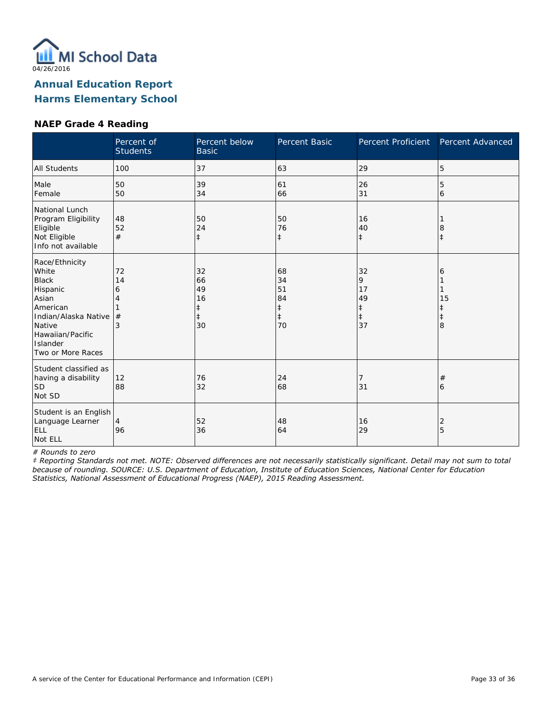

### **NAEP Grade 4 Reading**

|                                                                                                                                                                 | Percent of<br><b>Students</b> | Percent below<br><b>Basic</b>                 | Percent Basic                                          | Percent Proficient                                    | Percent Advanced  |
|-----------------------------------------------------------------------------------------------------------------------------------------------------------------|-------------------------------|-----------------------------------------------|--------------------------------------------------------|-------------------------------------------------------|-------------------|
| <b>All Students</b>                                                                                                                                             | 100                           | 37                                            | 63                                                     | 29                                                    | 5                 |
| Male<br>Female                                                                                                                                                  | 50<br>50                      | 39<br>34                                      | 61<br>66                                               | 26<br>31                                              | 5<br>6            |
| National Lunch<br>Program Eligibility<br>Eligible<br>Not Eligible<br>Info not available                                                                         | 48<br>52<br>#                 | 50<br>24<br>$\ddagger$                        | 50<br>76<br>$\ddagger$                                 | 16<br>40<br>$\ddagger$                                | 8<br>$\ddagger$   |
| Race/Ethnicity<br>White<br><b>Black</b><br>Hispanic<br>Asian<br>American<br>Indian/Alaska Native<br>Native<br>Hawaiian/Pacific<br>Islander<br>Two or More Races | 72<br>14<br>6<br>4<br>#<br>3  | 32<br>66<br>49<br>16<br>ŧ<br>$\ddagger$<br>30 | 68<br>34<br>51<br>84<br>$\ddagger$<br>$\ddagger$<br>70 | 32<br>9<br>17<br>49<br>$\ddagger$<br>$\ddagger$<br>37 | 6<br>15<br>ŧ<br>8 |
| Student classified as<br>having a disability<br>lsd<br>Not SD                                                                                                   | 12<br>88                      | 76<br>32                                      | 24<br>68                                               | 31                                                    | #<br>6            |
| Student is an English<br>Language Learner<br>ELL<br>Not ELL                                                                                                     | $\overline{4}$<br>96          | 52<br>36                                      | 48<br>64                                               | 16<br>29                                              | 2<br>5            |

*# Rounds to zero*

*‡ Reporting Standards not met. NOTE: Observed differences are not necessarily statistically significant. Detail may not sum to total because of rounding. SOURCE: U.S. Department of Education, Institute of Education Sciences, National Center for Education Statistics, National Assessment of Educational Progress (NAEP), 2015 Reading Assessment.*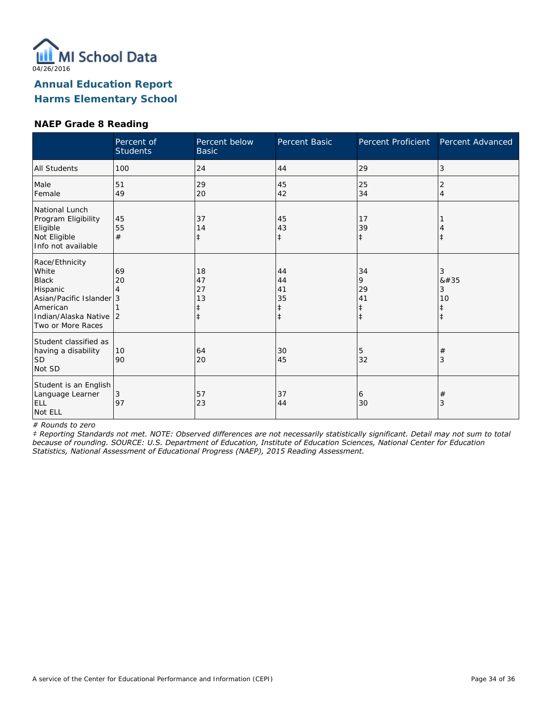

### **NAEP Grade 8 Reading**

|                                                                                                                                            | Percent of<br><b>Students</b> | Percent below<br><b>Basic</b>      | Percent Basic                      | Percent Proficient                     | Percent Advanced                        |
|--------------------------------------------------------------------------------------------------------------------------------------------|-------------------------------|------------------------------------|------------------------------------|----------------------------------------|-----------------------------------------|
| <b>All Students</b>                                                                                                                        | 100                           | 24                                 | 44                                 | 29                                     | 3                                       |
| Male<br>Female                                                                                                                             | 51<br>49                      | 29<br>20                           | 45<br>42                           | 25<br>34                               | 2<br>$\overline{4}$                     |
| National Lunch<br>Program Eligibility<br>Eligible<br>Not Eligible<br>Info not available                                                    | 45<br>55<br>#                 | 37<br>14                           | 45<br>43<br>$\ddagger$             | 17<br>39<br>$\ddagger$                 | $\ddagger$                              |
| Race/Ethnicity<br>White<br><b>Black</b><br>Hispanic<br>Asian/Pacific Islander 3<br>American<br>Indian/Alaska Native 2<br>Two or More Races | 69<br>20                      | 18<br>47<br>27<br>13<br>$\ddagger$ | 44<br>44<br>41<br>35<br>$\ddagger$ | 34<br>9<br>29<br>41<br>ŧ<br>$\ddagger$ | 3<br>8#35<br>3<br>10<br>ŧ<br>$\ddagger$ |
| Student classified as<br>having a disability<br><b>SD</b><br>Not SD                                                                        | 10<br>90                      | 64<br>20                           | 30<br>45                           | 5<br>32                                | $^{\#}$<br>3                            |
| Student is an English<br>Language Learner<br><b>ELL</b><br>Not ELL                                                                         | 3<br>97                       | 57<br>23                           | 37<br>44                           | 6<br>30                                | $\#$<br>3                               |

*# Rounds to zero*

*‡ Reporting Standards not met. NOTE: Observed differences are not necessarily statistically significant. Detail may not sum to total because of rounding. SOURCE: U.S. Department of Education, Institute of Education Sciences, National Center for Education Statistics, National Assessment of Educational Progress (NAEP), 2015 Reading Assessment.*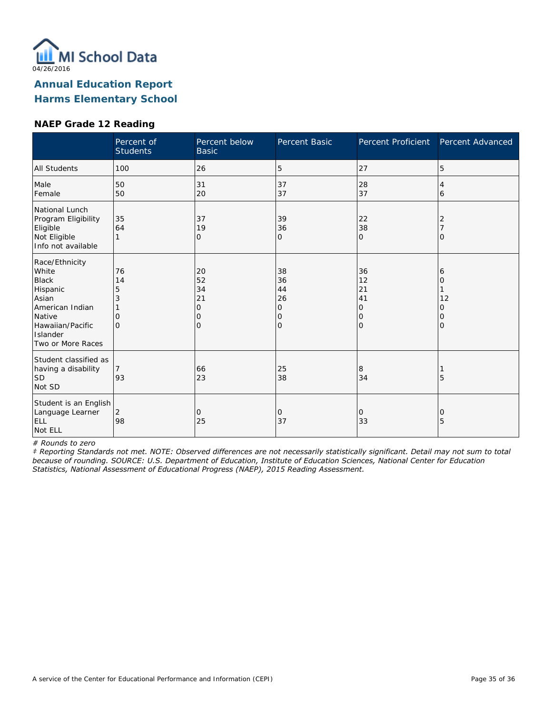

### **NAEP Grade 12 Reading**

|                                                                                                                                                | Percent of<br><b>Students</b>              | Percent below<br><b>Basic</b>                        | Percent Basic                       | Percent Proficient                          | Percent Advanced                   |
|------------------------------------------------------------------------------------------------------------------------------------------------|--------------------------------------------|------------------------------------------------------|-------------------------------------|---------------------------------------------|------------------------------------|
| <b>All Students</b>                                                                                                                            | 100                                        | 26                                                   | 5                                   | 27                                          | 5                                  |
| Male<br>Female                                                                                                                                 | 50<br>50                                   | 31<br>20                                             | 37<br>37                            | 28<br>37                                    | 4<br>6                             |
| National Lunch<br>Program Eligibility<br>Eligible<br>Not Eligible<br>Info not available                                                        | 35<br>64                                   | 37<br>19<br>0                                        | 39<br>36<br>O                       | 22<br>38<br>l0                              | 2<br>O                             |
| Race/Ethnicity<br>White<br><b>Black</b><br>Hispanic<br>Asian<br>American Indian<br>Native<br>Hawaiian/Pacific<br>Islander<br>Two or More Races | 76<br>14<br>5<br>3<br>$\Omega$<br>$\Omega$ | 20<br>52<br>34<br>21<br>$\mathbf 0$<br>0<br>$\Omega$ | 38<br>36<br>44<br>26<br>0<br>0<br>0 | 36<br>12<br>21<br>41<br>0<br>10<br>$\Omega$ | 6<br>Ω<br>12<br>Ω<br>0<br>$\Omega$ |
| Student classified as<br>having a disability<br> SD<br>Not SD                                                                                  | 7<br>93                                    | 66<br>23                                             | 25<br>38                            | 8<br>34                                     | 5                                  |
| Student is an English<br>Language Learner<br>ELL<br>Not ELL                                                                                    | 2<br>98                                    | $\Omega$<br>25                                       | 0<br>37                             | 0<br>33                                     | 0<br>5                             |

*# Rounds to zero*

*‡ Reporting Standards not met. NOTE: Observed differences are not necessarily statistically significant. Detail may not sum to total because of rounding. SOURCE: U.S. Department of Education, Institute of Education Sciences, National Center for Education Statistics, National Assessment of Educational Progress (NAEP), 2015 Reading Assessment.*